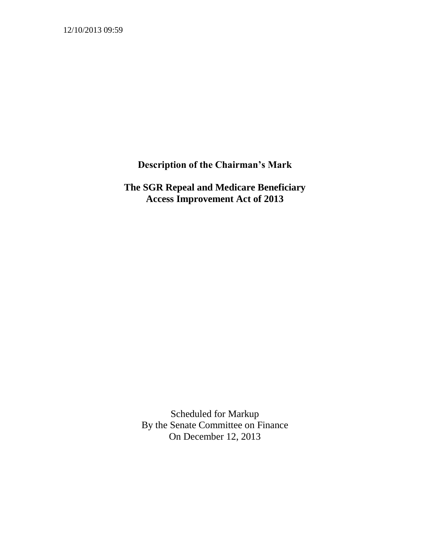12/10/2013 09:59

**Description of the Chairman's Mark**

**The SGR Repeal and Medicare Beneficiary Access Improvement Act of 2013**

Scheduled for Markup By the Senate Committee on Finance On December 12, 2013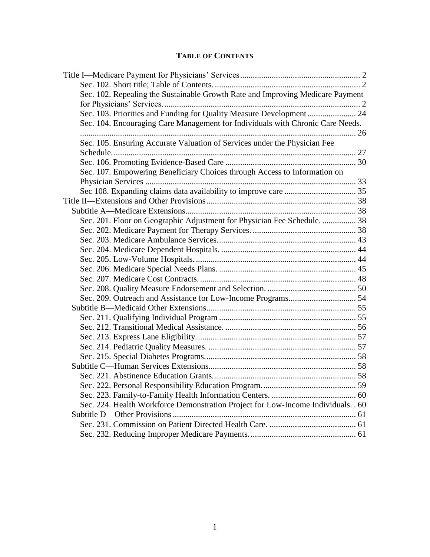### **TABLE OF CONTENTS**

| Sec. 102. Repealing the Sustainable Growth Rate and Improving Medicare Payment    |  |
|-----------------------------------------------------------------------------------|--|
|                                                                                   |  |
| Sec. 103. Priorities and Funding for Quality Measure Development 24               |  |
| Sec. 104. Encouraging Care Management for Individuals with Chronic Care Needs.    |  |
|                                                                                   |  |
| Sec. 105. Ensuring Accurate Valuation of Services under the Physician Fee         |  |
|                                                                                   |  |
|                                                                                   |  |
| Sec. 107. Empowering Beneficiary Choices through Access to Information on         |  |
|                                                                                   |  |
|                                                                                   |  |
|                                                                                   |  |
|                                                                                   |  |
| Sec. 201. Floor on Geographic Adjustment for Physician Fee Schedule.  38          |  |
|                                                                                   |  |
|                                                                                   |  |
|                                                                                   |  |
|                                                                                   |  |
|                                                                                   |  |
|                                                                                   |  |
|                                                                                   |  |
|                                                                                   |  |
|                                                                                   |  |
|                                                                                   |  |
|                                                                                   |  |
|                                                                                   |  |
|                                                                                   |  |
|                                                                                   |  |
|                                                                                   |  |
|                                                                                   |  |
|                                                                                   |  |
|                                                                                   |  |
| Sec. 224. Health Workforce Demonstration Project for Low-Income Individuals. . 60 |  |
|                                                                                   |  |
|                                                                                   |  |
|                                                                                   |  |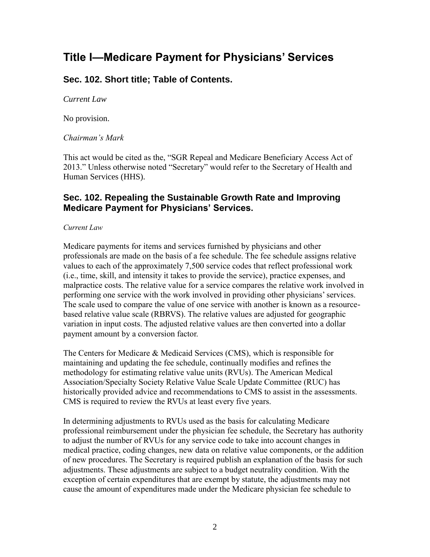# <span id="page-2-0"></span>**Title I—Medicare Payment for Physicians' Services**

### <span id="page-2-1"></span>**Sec. 102. Short title; Table of Contents.**

*Current Law*

No provision.

*Chairman's Mark*

This act would be cited as the, "SGR Repeal and Medicare Beneficiary Access Act of 2013." Unless otherwise noted "Secretary" would refer to the Secretary of Health and Human Services (HHS).

### <span id="page-2-2"></span>**Sec. 102. Repealing the Sustainable Growth Rate and Improving Medicare Payment for Physicians' Services.**

*Current Law*

Medicare payments for items and services furnished by physicians and other professionals are made on the basis of a fee schedule. The fee schedule assigns relative values to each of the approximately 7,500 service codes that reflect professional work (i.e., time, skill, and intensity it takes to provide the service), practice expenses, and malpractice costs. The relative value for a service compares the relative work involved in performing one service with the work involved in providing other physicians' services. The scale used to compare the value of one service with another is known as a resourcebased relative value scale (RBRVS). The relative values are adjusted for geographic variation in input costs. The adjusted relative values are then converted into a dollar payment amount by a conversion factor.

The Centers for Medicare & Medicaid Services (CMS), which is responsible for maintaining and updating the fee schedule, continually modifies and refines the methodology for estimating relative value units (RVUs). The American Medical Association/Specialty Society Relative Value Scale Update Committee (RUC) has historically provided advice and recommendations to CMS to assist in the assessments. CMS is required to review the RVUs at least every five years.

In determining adjustments to RVUs used as the basis for calculating Medicare professional reimbursement under the physician fee schedule, the Secretary has authority to adjust the number of RVUs for any service code to take into account changes in medical practice, coding changes, new data on relative value components, or the addition of new procedures. The Secretary is required publish an explanation of the basis for such adjustments. These adjustments are subject to a budget neutrality condition. With the exception of certain expenditures that are exempt by statute, the adjustments may not cause the amount of expenditures made under the Medicare physician fee schedule to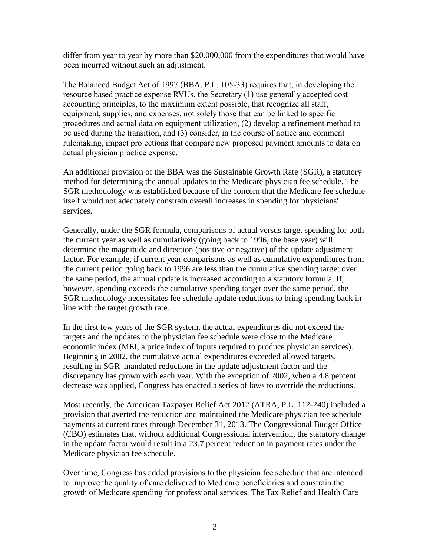differ from year to year by more than \$20,000,000 from the expenditures that would have been incurred without such an adjustment.

The Balanced Budget Act of 1997 (BBA, P.L. 105-33) requires that, in developing the resource based practice expense RVUs, the Secretary (1) use generally accepted cost accounting principles, to the maximum extent possible, that recognize all staff, equipment, supplies, and expenses, not solely those that can be linked to specific procedures and actual data on equipment utilization, (2) develop a refinement method to be used during the transition, and (3) consider, in the course of notice and comment rulemaking, impact projections that compare new proposed payment amounts to data on actual physician practice expense.

An additional provision of the BBA was the Sustainable Growth Rate (SGR), a statutory method for determining the annual updates to the Medicare physician fee schedule. The SGR methodology was established because of the concern that the Medicare fee schedule itself would not adequately constrain overall increases in spending for physicians' services.

Generally, under the SGR formula, comparisons of actual versus target spending for both the current year as well as cumulatively (going back to 1996, the base year) will determine the magnitude and direction (positive or negative) of the update adjustment factor. For example, if current year comparisons as well as cumulative expenditures from the current period going back to 1996 are less than the cumulative spending target over the same period, the annual update is increased according to a statutory formula. If, however, spending exceeds the cumulative spending target over the same period, the SGR methodology necessitates fee schedule update reductions to bring spending back in line with the target growth rate.

In the first few years of the SGR system, the actual expenditures did not exceed the targets and the updates to the physician fee schedule were close to the Medicare economic index (MEI, a price index of inputs required to produce physician services). Beginning in 2002, the cumulative actual expenditures exceeded allowed targets, resulting in SGR–mandated reductions in the update adjustment factor and the discrepancy has grown with each year. With the exception of 2002, when a 4.8 percent decrease was applied, Congress has enacted a series of laws to override the reductions.

Most recently, the American Taxpayer Relief Act 2012 (ATRA, P.L. 112-240) included a provision that averted the reduction and maintained the Medicare physician fee schedule payments at current rates through December 31, 2013. The Congressional Budget Office (CBO) estimates that, without additional Congressional intervention, the statutory change in the update factor would result in a 23.7 percent reduction in payment rates under the Medicare physician fee schedule.

Over time, Congress has added provisions to the physician fee schedule that are intended to improve the quality of care delivered to Medicare beneficiaries and constrain the growth of Medicare spending for professional services. The Tax Relief and Health Care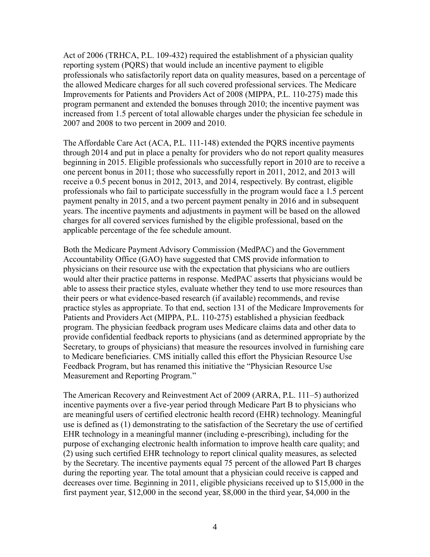Act of 2006 (TRHCA, [P.L. 109-432\)](http://www.congress.gov/cgi-lis/bdquery/R?d109:FLD002:@1%28109+432%29) required the establishment of a physician quality reporting system (PQRS) that would include an incentive payment to eligible professionals who satisfactorily report data on quality measures, based on a percentage of the allowed Medicare charges for all such covered professional services. The Medicare Improvements for Patients and Providers Act of 2008 (MIPPA, [P.L. 110-275\)](http://www.congress.gov/cgi-lis/bdquery/R?d110:FLD002:@1%28110+275%29) made this program permanent and extended the bonuses through 2010; the incentive payment was increased from 1.5 percent of total allowable charges under the physician fee schedule in 2007 and 2008 to two percent in 2009 and 2010.

The Affordable Care Act (ACA, P.L. 111-148) extended the PQRS incentive payments through 2014 and put in place a penalty for providers who do not report quality measures beginning in 2015. Eligible professionals who successfully report in 2010 are to receive a one percent bonus in 2011; those who successfully report in 2011, 2012, and 2013 will receive a 0.5 pecent bonus in 2012, 2013, and 2014, respectively. By contrast, eligible professionals who fail to participate successfully in the program would face a 1.5 percent payment penalty in 2015, and a two percent payment penalty in 2016 and in subsequent years. The incentive payments and adjustments in payment will be based on the allowed charges for all covered services furnished by the eligible professional, based on the applicable percentage of the fee schedule amount.

Both the Medicare Payment Advisory Commission (MedPAC) and the Government Accountability Office (GAO) have suggested that CMS provide information to physicians on their resource use with the expectation that physicians who are outliers would alter their practice patterns in response. MedPAC asserts that physicians would be able to assess their practice styles, evaluate whether they tend to use more resources than their peers or what evidence-based research (if available) recommends, and revise practice styles as appropriate. To that end, section 131 of the Medicare Improvements for Patients and Providers Act (MIPPA, P.L. 110-275) established a physician feedback program. The physician feedback program uses Medicare claims data and other data to provide confidential feedback reports to physicians (and as determined appropriate by the Secretary, to groups of physicians) that measure the resources involved in furnishing care to Medicare beneficiaries. CMS initially called this effort the Physician Resource Use Feedback Program, but has renamed this initiative the "Physician Resource Use Measurement and Reporting Program."

The American Recovery and Reinvestment Act of 2009 (ARRA, P.L. 111–5) authorized incentive payments over a five-year period through Medicare Part B to physicians who are meaningful users of certified electronic health record (EHR) technology. Meaningful use is defined as (1) demonstrating to the satisfaction of the Secretary the use of certified EHR technology in a meaningful manner (including e-prescribing), including for the purpose of exchanging electronic health information to improve health care quality; and (2) using such certified EHR technology to report clinical quality measures, as selected by the Secretary. The incentive payments equal 75 percent of the allowed Part B charges during the reporting year. The total amount that a physician could receive is capped and decreases over time. Beginning in 2011, eligible physicians received up to \$15,000 in the first payment year, \$12,000 in the second year, \$8,000 in the third year, \$4,000 in the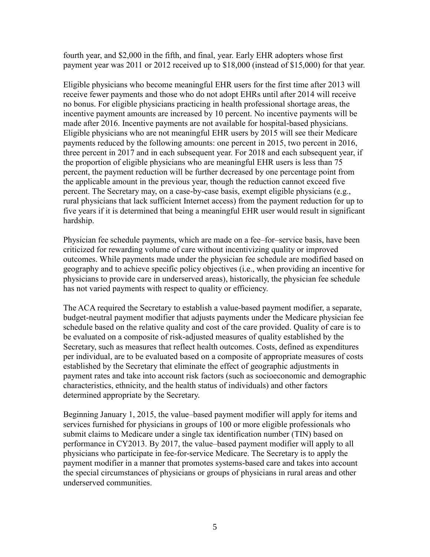fourth year, and \$2,000 in the fifth, and final, year. Early EHR adopters whose first payment year was 2011 or 2012 received up to \$18,000 (instead of \$15,000) for that year.

Eligible physicians who become meaningful EHR users for the first time after 2013 will receive fewer payments and those who do not adopt EHRs until after 2014 will receive no bonus. For eligible physicians practicing in health professional shortage areas, the incentive payment amounts are increased by 10 percent. No incentive payments will be made after 2016. Incentive payments are not available for hospital-based physicians. Eligible physicians who are not meaningful EHR users by 2015 will see their Medicare payments reduced by the following amounts: one percent in 2015, two percent in 2016, three percent in 2017 and in each subsequent year. For 2018 and each subsequent year, if the proportion of eligible physicians who are meaningful EHR users is less than 75 percent, the payment reduction will be further decreased by one percentage point from the applicable amount in the previous year, though the reduction cannot exceed five percent. The Secretary may, on a case-by-case basis, exempt eligible physicians (e.g., rural physicians that lack sufficient Internet access) from the payment reduction for up to five years if it is determined that being a meaningful EHR user would result in significant hardship.

Physician fee schedule payments, which are made on a fee–for–service basis, have been criticized for rewarding volume of care without incentivizing quality or improved outcomes. While payments made under the physician fee schedule are modified based on geography and to achieve specific policy objectives (i.e., when providing an incentive for physicians to provide care in underserved areas), historically, the physician fee schedule has not varied payments with respect to quality or efficiency.

The ACA required the Secretary to establish a value-based payment modifier, a separate, budget-neutral payment modifier that adjusts payments under the Medicare physician fee schedule based on the relative quality and cost of the care provided. Quality of care is to be evaluated on a composite of risk-adjusted measures of quality established by the Secretary, such as measures that reflect health outcomes. Costs, defined as expenditures per individual, are to be evaluated based on a composite of appropriate measures of costs established by the Secretary that eliminate the effect of geographic adjustments in payment rates and take into account risk factors (such as socioeconomic and demographic characteristics, ethnicity, and the health status of individuals) and other factors determined appropriate by the Secretary.

Beginning January 1, 2015, the value–based payment modifier will apply for items and services furnished for physicians in groups of 100 or more eligible professionals who submit claims to Medicare under a single tax identification number (TIN) based on performance in CY2013. By 2017, the value–based payment modifier will apply to all physicians who participate in fee-for-service Medicare. The Secretary is to apply the payment modifier in a manner that promotes systems-based care and takes into account the special circumstances of physicians or groups of physicians in rural areas and other underserved communities.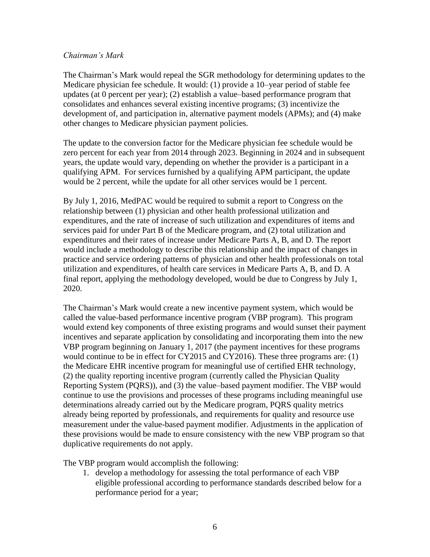#### *Chairman's Mark*

The Chairman's Mark would repeal the SGR methodology for determining updates to the Medicare physician fee schedule. It would: (1) provide a 10–year period of stable fee updates (at 0 percent per year); (2) establish a value–based performance program that consolidates and enhances several existing incentive programs; (3) incentivize the development of, and participation in, alternative payment models (APMs); and (4) make other changes to Medicare physician payment policies.

The update to the conversion factor for the Medicare physician fee schedule would be zero percent for each year from 2014 through 2023. Beginning in 2024 and in subsequent years, the update would vary, depending on whether the provider is a participant in a qualifying APM. For services furnished by a qualifying APM participant, the update would be 2 percent, while the update for all other services would be 1 percent.

By July 1, 2016, MedPAC would be required to submit a report to Congress on the relationship between (1) physician and other health professional utilization and expenditures, and the rate of increase of such utilization and expenditures of items and services paid for under Part B of the Medicare program, and (2) total utilization and expenditures and their rates of increase under Medicare Parts A, B, and D. The report would include a methodology to describe this relationship and the impact of changes in practice and service ordering patterns of physician and other health professionals on total utilization and expenditures, of health care services in Medicare Parts A, B, and D. A final report, applying the methodology developed, would be due to Congress by July 1, 2020.

The Chairman's Mark would create a new incentive payment system, which would be called the value-based performance incentive program (VBP program). This program would extend key components of three existing programs and would sunset their payment incentives and separate application by consolidating and incorporating them into the new VBP program beginning on January 1, 2017 (the payment incentives for these programs would continue to be in effect for CY2015 and CY2016). These three programs are: (1) the Medicare EHR incentive program for meaningful use of certified EHR technology, (2) the quality reporting incentive program (currently called the Physician Quality Reporting System (PQRS)), and (3) the value–based payment modifier. The VBP would continue to use the provisions and processes of these programs including meaningful use determinations already carried out by the Medicare program, PQRS quality metrics already being reported by professionals, and requirements for quality and resource use measurement under the value-based payment modifier. Adjustments in the application of these provisions would be made to ensure consistency with the new VBP program so that duplicative requirements do not apply.

The VBP program would accomplish the following:

1. develop a methodology for assessing the total performance of each VBP eligible professional according to performance standards described below for a performance period for a year;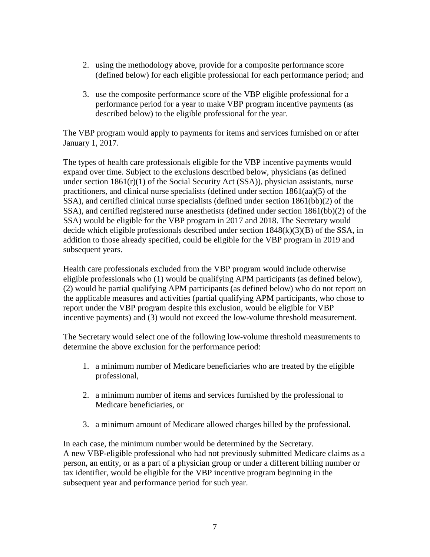- 2. using the methodology above, provide for a composite performance score (defined below) for each eligible professional for each performance period; and
- 3. use the composite performance score of the VBP eligible professional for a performance period for a year to make VBP program incentive payments (as described below) to the eligible professional for the year.

The VBP program would apply to payments for items and services furnished on or after January 1, 2017.

The types of health care professionals eligible for the VBP incentive payments would expand over time. Subject to the exclusions described below, physicians (as defined under section  $1861(r)(1)$  of the Social Security Act (SSA)), physician assistants, nurse practitioners, and clinical nurse specialists (defined under section 1861(aa)(5) of the SSA), and certified clinical nurse specialists (defined under section 1861(bb)(2) of the SSA), and certified registered nurse anesthetists (defined under section 1861(bb)(2) of the SSA) would be eligible for the VBP program in 2017 and 2018. The Secretary would decide which eligible professionals described under section  $1848(k)(3)(B)$  of the SSA, in addition to those already specified, could be eligible for the VBP program in 2019 and subsequent years.

Health care professionals excluded from the VBP program would include otherwise eligible professionals who (1) would be qualifying APM participants (as defined below), (2) would be partial qualifying APM participants (as defined below) who do not report on the applicable measures and activities (partial qualifying APM participants, who chose to report under the VBP program despite this exclusion, would be eligible for VBP incentive payments) and (3) would not exceed the low-volume threshold measurement.

The Secretary would select one of the following low-volume threshold measurements to determine the above exclusion for the performance period:

- 1. a minimum number of Medicare beneficiaries who are treated by the eligible professional,
- 2. a minimum number of items and services furnished by the professional to Medicare beneficiaries, or
- 3. a minimum amount of Medicare allowed charges billed by the professional.

In each case, the minimum number would be determined by the Secretary. A new VBP-eligible professional who had not previously submitted Medicare claims as a person, an entity, or as a part of a physician group or under a different billing number or tax identifier, would be eligible for the VBP incentive program beginning in the subsequent year and performance period for such year.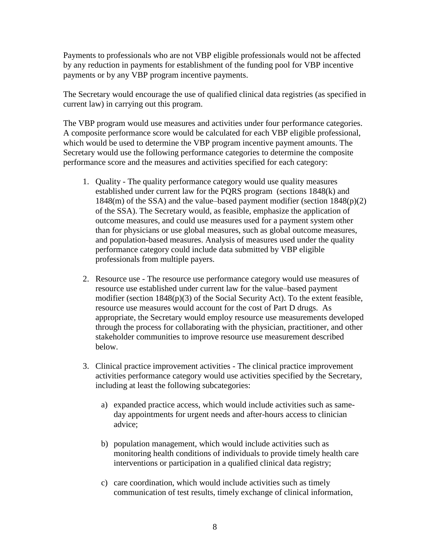Payments to professionals who are not VBP eligible professionals would not be affected by any reduction in payments for establishment of the funding pool for VBP incentive payments or by any VBP program incentive payments.

The Secretary would encourage the use of qualified clinical data registries (as specified in current law) in carrying out this program.

The VBP program would use measures and activities under four performance categories. A composite performance score would be calculated for each VBP eligible professional, which would be used to determine the VBP program incentive payment amounts. The Secretary would use the following performance categories to determine the composite performance score and the measures and activities specified for each category:

- 1. Quality The quality performance category would use quality measures established under current law for the PQRS program (sections 1848(k) and 1848(m) of the SSA) and the value–based payment modifier (section 1848(p)(2) of the SSA). The Secretary would, as feasible, emphasize the application of outcome measures, and could use measures used for a payment system other than for physicians or use global measures, such as global outcome measures, and population-based measures. Analysis of measures used under the quality performance category could include data submitted by VBP eligible professionals from multiple payers.
- 2. Resource use The resource use performance category would use measures of resource use established under current law for the value–based payment modifier (section 1848(p)(3) of the Social Security Act). To the extent feasible, resource use measures would account for the cost of Part D drugs. As appropriate, the Secretary would employ resource use measurements developed through the process for collaborating with the physician, practitioner, and other stakeholder communities to improve resource use measurement described below.
- 3. Clinical practice improvement activities The clinical practice improvement activities performance category would use activities specified by the Secretary, including at least the following subcategories:
	- a) expanded practice access, which would include activities such as sameday appointments for urgent needs and after-hours access to clinician advice;
	- b) population management, which would include activities such as monitoring health conditions of individuals to provide timely health care interventions or participation in a qualified clinical data registry;
	- c) care coordination, which would include activities such as timely communication of test results, timely exchange of clinical information,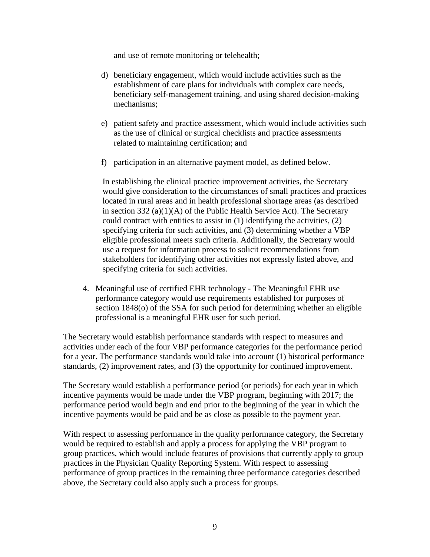and use of remote monitoring or telehealth;

- d) beneficiary engagement, which would include activities such as the establishment of care plans for individuals with complex care needs, beneficiary self-management training, and using shared decision-making mechanisms;
- e) patient safety and practice assessment, which would include activities such as the use of clinical or surgical checklists and practice assessments related to maintaining certification; and
- f) participation in an alternative payment model, as defined below.

In establishing the clinical practice improvement activities, the Secretary would give consideration to the circumstances of small practices and practices located in rural areas and in health professional shortage areas (as described in section  $332$  (a)(1)(A) of the Public Health Service Act). The Secretary could contract with entities to assist in (1) identifying the activities, (2) specifying criteria for such activities, and (3) determining whether a VBP eligible professional meets such criteria. Additionally, the Secretary would use a request for information process to solicit recommendations from stakeholders for identifying other activities not expressly listed above, and specifying criteria for such activities.

4. Meaningful use of certified EHR technology - The Meaningful EHR use performance category would use requirements established for purposes of section 1848(o) of the SSA for such period for determining whether an eligible professional is a meaningful EHR user for such period.

The Secretary would establish performance standards with respect to measures and activities under each of the four VBP performance categories for the performance period for a year. The performance standards would take into account (1) historical performance standards, (2) improvement rates, and (3) the opportunity for continued improvement.

The Secretary would establish a performance period (or periods) for each year in which incentive payments would be made under the VBP program, beginning with 2017; the performance period would begin and end prior to the beginning of the year in which the incentive payments would be paid and be as close as possible to the payment year.

With respect to assessing performance in the quality performance category, the Secretary would be required to establish and apply a process for applying the VBP program to group practices, which would include features of provisions that currently apply to group practices in the Physician Quality Reporting System. With respect to assessing performance of group practices in the remaining three performance categories described above, the Secretary could also apply such a process for groups.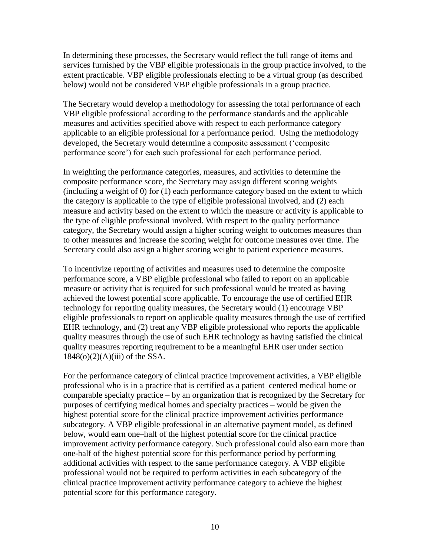In determining these processes, the Secretary would reflect the full range of items and services furnished by the VBP eligible professionals in the group practice involved, to the extent practicable. VBP eligible professionals electing to be a virtual group (as described below) would not be considered VBP eligible professionals in a group practice.

The Secretary would develop a methodology for assessing the total performance of each VBP eligible professional according to the performance standards and the applicable measures and activities specified above with respect to each performance category applicable to an eligible professional for a performance period. Using the methodology developed, the Secretary would determine a composite assessment ('composite performance score') for each such professional for each performance period.

In weighting the performance categories, measures, and activities to determine the composite performance score, the Secretary may assign different scoring weights (including a weight of 0) for (1) each performance category based on the extent to which the category is applicable to the type of eligible professional involved, and (2) each measure and activity based on the extent to which the measure or activity is applicable to the type of eligible professional involved. With respect to the quality performance category, the Secretary would assign a higher scoring weight to outcomes measures than to other measures and increase the scoring weight for outcome measures over time. The Secretary could also assign a higher scoring weight to patient experience measures.

To incentivize reporting of activities and measures used to determine the composite performance score, a VBP eligible professional who failed to report on an applicable measure or activity that is required for such professional would be treated as having achieved the lowest potential score applicable. To encourage the use of certified EHR technology for reporting quality measures, the Secretary would (1) encourage VBP eligible professionals to report on applicable quality measures through the use of certified EHR technology, and (2) treat any VBP eligible professional who reports the applicable quality measures through the use of such EHR technology as having satisfied the clinical quality measures reporting requirement to be a meaningful EHR user under section  $1848<sub>(0)</sub>(2)(A)(iii)$  of the SSA.

For the performance category of clinical practice improvement activities, a VBP eligible professional who is in a practice that is certified as a patient–centered medical home or comparable specialty practice – by an organization that is recognized by the Secretary for purposes of certifying medical homes and specialty practices – would be given the highest potential score for the clinical practice improvement activities performance subcategory. A VBP eligible professional in an alternative payment model, as defined below, would earn one–half of the highest potential score for the clinical practice improvement activity performance category. Such professional could also earn more than one-half of the highest potential score for this performance period by performing additional activities with respect to the same performance category. A VBP eligible professional would not be required to perform activities in each subcategory of the clinical practice improvement activity performance category to achieve the highest potential score for this performance category.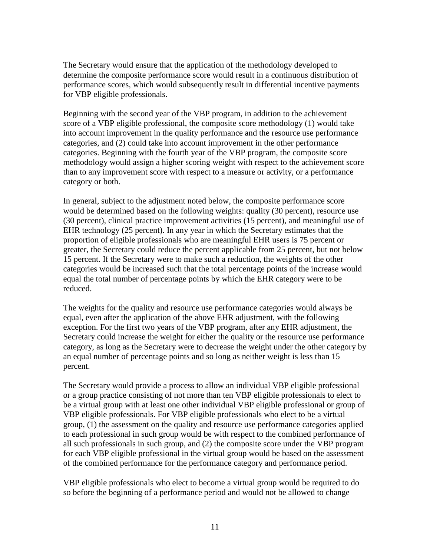The Secretary would ensure that the application of the methodology developed to determine the composite performance score would result in a continuous distribution of performance scores, which would subsequently result in differential incentive payments for VBP eligible professionals.

Beginning with the second year of the VBP program, in addition to the achievement score of a VBP eligible professional, the composite score methodology (1) would take into account improvement in the quality performance and the resource use performance categories, and (2) could take into account improvement in the other performance categories. Beginning with the fourth year of the VBP program, the composite score methodology would assign a higher scoring weight with respect to the achievement score than to any improvement score with respect to a measure or activity, or a performance category or both.

In general, subject to the adjustment noted below, the composite performance score would be determined based on the following weights: quality (30 percent), resource use (30 percent), clinical practice improvement activities (15 percent), and meaningful use of EHR technology (25 percent). In any year in which the Secretary estimates that the proportion of eligible professionals who are meaningful EHR users is 75 percent or greater, the Secretary could reduce the percent applicable from 25 percent, but not below 15 percent. If the Secretary were to make such a reduction, the weights of the other categories would be increased such that the total percentage points of the increase would equal the total number of percentage points by which the EHR category were to be reduced.

The weights for the quality and resource use performance categories would always be equal, even after the application of the above EHR adjustment, with the following exception. For the first two years of the VBP program, after any EHR adjustment, the Secretary could increase the weight for either the quality or the resource use performance category, as long as the Secretary were to decrease the weight under the other category by an equal number of percentage points and so long as neither weight is less than 15 percent.

The Secretary would provide a process to allow an individual VBP eligible professional or a group practice consisting of not more than ten VBP eligible professionals to elect to be a virtual group with at least one other individual VBP eligible professional or group of VBP eligible professionals. For VBP eligible professionals who elect to be a virtual group, (1) the assessment on the quality and resource use performance categories applied to each professional in such group would be with respect to the combined performance of all such professionals in such group, and (2) the composite score under the VBP program for each VBP eligible professional in the virtual group would be based on the assessment of the combined performance for the performance category and performance period.

VBP eligible professionals who elect to become a virtual group would be required to do so before the beginning of a performance period and would not be allowed to change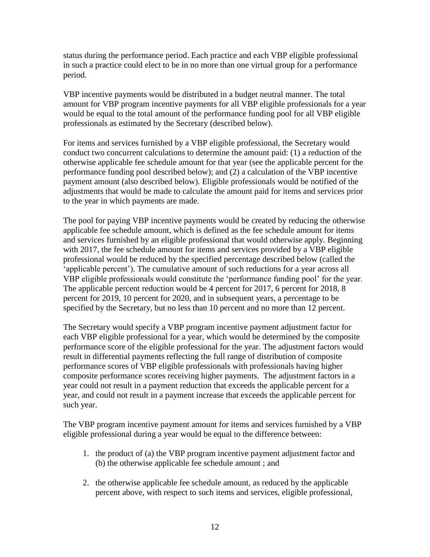status during the performance period. Each practice and each VBP eligible professional in such a practice could elect to be in no more than one virtual group for a performance period.

VBP incentive payments would be distributed in a budget neutral manner. The total amount for VBP program incentive payments for all VBP eligible professionals for a year would be equal to the total amount of the performance funding pool for all VBP eligible professionals as estimated by the Secretary (described below).

For items and services furnished by a VBP eligible professional, the Secretary would conduct two concurrent calculations to determine the amount paid: (1) a reduction of the otherwise applicable fee schedule amount for that year (see the applicable percent for the performance funding pool described below); and (2) a calculation of the VBP incentive payment amount (also described below). Eligible professionals would be notified of the adjustments that would be made to calculate the amount paid for items and services prior to the year in which payments are made.

The pool for paying VBP incentive payments would be created by reducing the otherwise applicable fee schedule amount, which is defined as the fee schedule amount for items and services furnished by an eligible professional that would otherwise apply. Beginning with 2017, the fee schedule amount for items and services provided by a VBP eligible professional would be reduced by the specified percentage described below (called the 'applicable percent'). The cumulative amount of such reductions for a year across all VBP eligible professionals would constitute the 'performance funding pool' for the year. The applicable percent reduction would be 4 percent for 2017, 6 percent for 2018, 8 percent for 2019, 10 percent for 2020, and in subsequent years, a percentage to be specified by the Secretary, but no less than 10 percent and no more than 12 percent.

The Secretary would specify a VBP program incentive payment adjustment factor for each VBP eligible professional for a year, which would be determined by the composite performance score of the eligible professional for the year. The adjustment factors would result in differential payments reflecting the full range of distribution of composite performance scores of VBP eligible professionals with professionals having higher composite performance scores receiving higher payments. The adjustment factors in a year could not result in a payment reduction that exceeds the applicable percent for a year, and could not result in a payment increase that exceeds the applicable percent for such year.

The VBP program incentive payment amount for items and services furnished by a VBP eligible professional during a year would be equal to the difference between:

- 1. the product of (a) the VBP program incentive payment adjustment factor and (b) the otherwise applicable fee schedule amount ; and
- 2. the otherwise applicable fee schedule amount, as reduced by the applicable percent above, with respect to such items and services, eligible professional,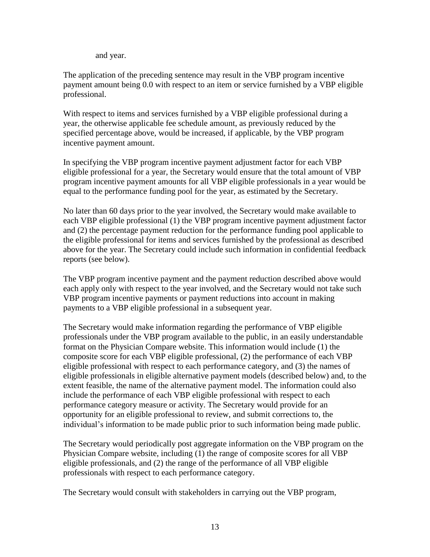and year.

The application of the preceding sentence may result in the VBP program incentive payment amount being 0.0 with respect to an item or service furnished by a VBP eligible professional.

With respect to items and services furnished by a VBP eligible professional during a year, the otherwise applicable fee schedule amount, as previously reduced by the specified percentage above, would be increased, if applicable, by the VBP program incentive payment amount.

In specifying the VBP program incentive payment adjustment factor for each VBP eligible professional for a year, the Secretary would ensure that the total amount of VBP program incentive payment amounts for all VBP eligible professionals in a year would be equal to the performance funding pool for the year, as estimated by the Secretary.

No later than 60 days prior to the year involved, the Secretary would make available to each VBP eligible professional (1) the VBP program incentive payment adjustment factor and (2) the percentage payment reduction for the performance funding pool applicable to the eligible professional for items and services furnished by the professional as described above for the year. The Secretary could include such information in confidential feedback reports (see below).

The VBP program incentive payment and the payment reduction described above would each apply only with respect to the year involved, and the Secretary would not take such VBP program incentive payments or payment reductions into account in making payments to a VBP eligible professional in a subsequent year.

The Secretary would make information regarding the performance of VBP eligible professionals under the VBP program available to the public, in an easily understandable format on the Physician Compare website. This information would include (1) the composite score for each VBP eligible professional, (2) the performance of each VBP eligible professional with respect to each performance category, and (3) the names of eligible professionals in eligible alternative payment models (described below) and, to the extent feasible, the name of the alternative payment model. The information could also include the performance of each VBP eligible professional with respect to each performance category measure or activity. The Secretary would provide for an opportunity for an eligible professional to review, and submit corrections to, the individual's information to be made public prior to such information being made public.

The Secretary would periodically post aggregate information on the VBP program on the Physician Compare website, including (1) the range of composite scores for all VBP eligible professionals, and (2) the range of the performance of all VBP eligible professionals with respect to each performance category.

The Secretary would consult with stakeholders in carrying out the VBP program,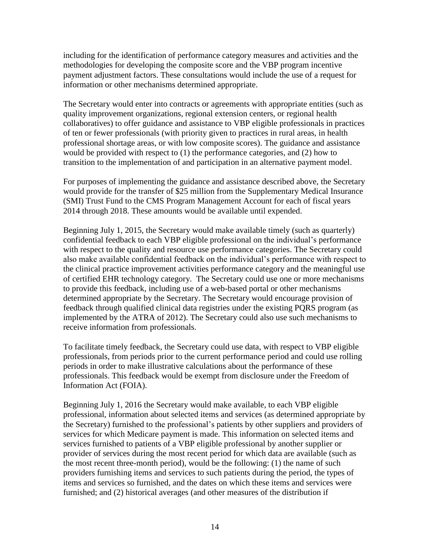including for the identification of performance category measures and activities and the methodologies for developing the composite score and the VBP program incentive payment adjustment factors. These consultations would include the use of a request for information or other mechanisms determined appropriate.

The Secretary would enter into contracts or agreements with appropriate entities (such as quality improvement organizations, regional extension centers, or regional health collaboratives) to offer guidance and assistance to VBP eligible professionals in practices of ten or fewer professionals (with priority given to practices in rural areas, in health professional shortage areas, or with low composite scores). The guidance and assistance would be provided with respect to (1) the performance categories, and (2) how to transition to the implementation of and participation in an alternative payment model.

For purposes of implementing the guidance and assistance described above, the Secretary would provide for the transfer of \$25 million from the Supplementary Medical Insurance (SMI) Trust Fund to the CMS Program Management Account for each of fiscal years 2014 through 2018. These amounts would be available until expended.

Beginning July 1, 2015, the Secretary would make available timely (such as quarterly) confidential feedback to each VBP eligible professional on the individual's performance with respect to the quality and resource use performance categories. The Secretary could also make available confidential feedback on the individual's performance with respect to the clinical practice improvement activities performance category and the meaningful use of certified EHR technology category. The Secretary could use one or more mechanisms to provide this feedback, including use of a web-based portal or other mechanisms determined appropriate by the Secretary. The Secretary would encourage provision of feedback through qualified clinical data registries under the existing PQRS program (as implemented by the ATRA of 2012). The Secretary could also use such mechanisms to receive information from professionals.

To facilitate timely feedback, the Secretary could use data, with respect to VBP eligible professionals, from periods prior to the current performance period and could use rolling periods in order to make illustrative calculations about the performance of these professionals. This feedback would be exempt from disclosure under the Freedom of Information Act (FOIA).

Beginning July 1, 2016 the Secretary would make available, to each VBP eligible professional, information about selected items and services (as determined appropriate by the Secretary) furnished to the professional's patients by other suppliers and providers of services for which Medicare payment is made. This information on selected items and services furnished to patients of a VBP eligible professional by another supplier or provider of services during the most recent period for which data are available (such as the most recent three-month period), would be the following: (1) the name of such providers furnishing items and services to such patients during the period, the types of items and services so furnished, and the dates on which these items and services were furnished; and (2) historical averages (and other measures of the distribution if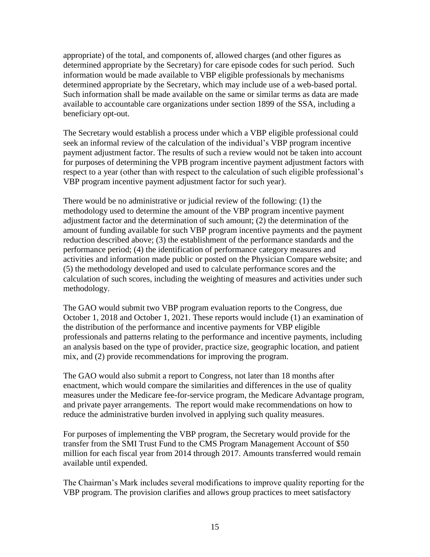appropriate) of the total, and components of, allowed charges (and other figures as determined appropriate by the Secretary) for care episode codes for such period. Such information would be made available to VBP eligible professionals by mechanisms determined appropriate by the Secretary, which may include use of a web-based portal. Such information shall be made available on the same or similar terms as data are made available to accountable care organizations under section 1899 of the SSA, including a beneficiary opt-out.

The Secretary would establish a process under which a VBP eligible professional could seek an informal review of the calculation of the individual's VBP program incentive payment adjustment factor. The results of such a review would not be taken into account for purposes of determining the VPB program incentive payment adjustment factors with respect to a year (other than with respect to the calculation of such eligible professional's VBP program incentive payment adjustment factor for such year).

There would be no administrative or judicial review of the following: (1) the methodology used to determine the amount of the VBP program incentive payment adjustment factor and the determination of such amount; (2) the determination of the amount of funding available for such VBP program incentive payments and the payment reduction described above; (3) the establishment of the performance standards and the performance period; (4) the identification of performance category measures and activities and information made public or posted on the Physician Compare website; and (5) the methodology developed and used to calculate performance scores and the calculation of such scores, including the weighting of measures and activities under such methodology.

The GAO would submit two VBP program evaluation reports to the Congress, due October 1, 2018 and October 1, 2021. These reports would include (1) an examination of the distribution of the performance and incentive payments for VBP eligible professionals and patterns relating to the performance and incentive payments, including an analysis based on the type of provider, practice size, geographic location, and patient mix, and (2) provide recommendations for improving the program.

The GAO would also submit a report to Congress, not later than 18 months after enactment, which would compare the similarities and differences in the use of quality measures under the Medicare fee-for-service program, the Medicare Advantage program, and private payer arrangements. The report would make recommendations on how to reduce the administrative burden involved in applying such quality measures.

For purposes of implementing the VBP program, the Secretary would provide for the transfer from the SMI Trust Fund to the CMS Program Management Account of \$50 million for each fiscal year from 2014 through 2017. Amounts transferred would remain available until expended.

The Chairman's Mark includes several modifications to improve quality reporting for the VBP program. The provision clarifies and allows group practices to meet satisfactory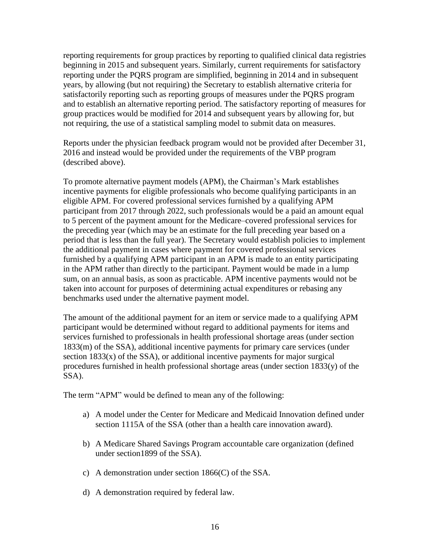reporting requirements for group practices by reporting to qualified clinical data registries beginning in 2015 and subsequent years. Similarly, current requirements for satisfactory reporting under the PQRS program are simplified, beginning in 2014 and in subsequent years, by allowing (but not requiring) the Secretary to establish alternative criteria for satisfactorily reporting such as reporting groups of measures under the PQRS program and to establish an alternative reporting period. The satisfactory reporting of measures for group practices would be modified for 2014 and subsequent years by allowing for, but not requiring, the use of a statistical sampling model to submit data on measures.

Reports under the physician feedback program would not be provided after December 31, 2016 and instead would be provided under the requirements of the VBP program (described above).

To promote alternative payment models (APM), the Chairman's Mark establishes incentive payments for eligible professionals who become qualifying participants in an eligible APM. For covered professional services furnished by a qualifying APM participant from 2017 through 2022, such professionals would be a paid an amount equal to 5 percent of the payment amount for the Medicare–covered professional services for the preceding year (which may be an estimate for the full preceding year based on a period that is less than the full year). The Secretary would establish policies to implement the additional payment in cases where payment for covered professional services furnished by a qualifying APM participant in an APM is made to an entity participating in the APM rather than directly to the participant. Payment would be made in a lump sum, on an annual basis, as soon as practicable. APM incentive payments would not be taken into account for purposes of determining actual expenditures or rebasing any benchmarks used under the alternative payment model.

The amount of the additional payment for an item or service made to a qualifying APM participant would be determined without regard to additional payments for items and services furnished to professionals in health professional shortage areas (under section 1833(m) of the SSA), additional incentive payments for primary care services (under section  $1833(x)$  of the SSA), or additional incentive payments for major surgical procedures furnished in health professional shortage areas (under section 1833(y) of the SSA).

The term "APM" would be defined to mean any of the following:

- a) A model under the Center for Medicare and Medicaid Innovation defined under section 1115A of the SSA (other than a health care innovation award).
- b) A Medicare Shared Savings Program accountable care organization (defined under section1899 of the SSA).
- c) A demonstration under section 1866(C) of the SSA.
- d) A demonstration required by federal law.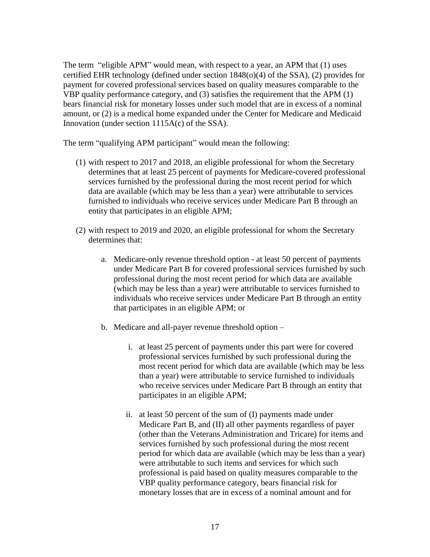The term "eligible APM" would mean, with respect to a year, an APM that (1) uses certified EHR technology (defined under section 1848(o)(4) of the SSA), (2) provides for payment for covered professional services based on quality measures comparable to the VBP quality performance category, and (3) satisfies the requirement that the APM (1) bears financial risk for monetary losses under such model that are in excess of a nominal amount, or (2) is a medical home expanded under the Center for Medicare and Medicaid Innovation (under section 1115A(c) of the SSA).

The term "qualifying APM participant" would mean the following:

- (1) with respect to 2017 and 2018, an eligible professional for whom the Secretary determines that at least 25 percent of payments for Medicare-covered professional services furnished by the professional during the most recent period for which data are available (which may be less than a year) were attributable to services furnished to individuals who receive services under Medicare Part B through an entity that participates in an eligible APM;
- (2) with respect to 2019 and 2020, an eligible professional for whom the Secretary determines that:
	- a. Medicare-only revenue threshold option at least 50 percent of payments under Medicare Part B for covered professional services furnished by such professional during the most recent period for which data are available (which may be less than a year) were attributable to services furnished to individuals who receive services under Medicare Part B through an entity that participates in an eligible APM; or
	- b. Medicare and all-payer revenue threshold option
		- i. at least 25 percent of payments under this part were for covered professional services furnished by such professional during the most recent period for which data are available (which may be less than a year) were attributable to service furnished to individuals who receive services under Medicare Part B through an entity that participates in an eligible APM;
		- ii. at least 50 percent of the sum of (I) payments made under Medicare Part B, and (II) all other payments regardless of payer (other than the Veterans Administration and Tricare) for items and services furnished by such professional during the most recent period for which data are available (which may be less than a year) were attributable to such items and services for which such professional is paid based on quality measures comparable to the VBP quality performance category, bears financial risk for monetary losses that are in excess of a nominal amount and for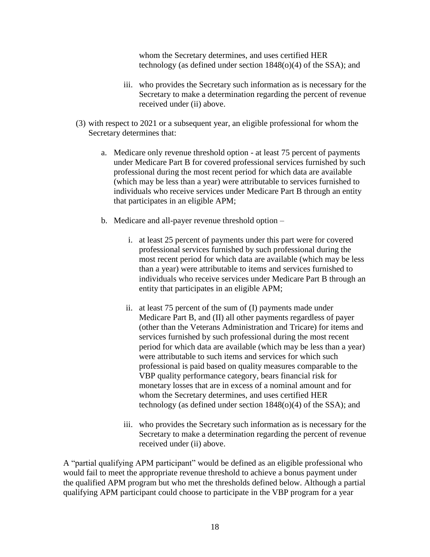whom the Secretary determines, and uses certified HER technology (as defined under section 1848(o)(4) of the SSA); and

- iii. who provides the Secretary such information as is necessary for the Secretary to make a determination regarding the percent of revenue received under (ii) above.
- (3) with respect to 2021 or a subsequent year, an eligible professional for whom the Secretary determines that:
	- a. Medicare only revenue threshold option at least 75 percent of payments under Medicare Part B for covered professional services furnished by such professional during the most recent period for which data are available (which may be less than a year) were attributable to services furnished to individuals who receive services under Medicare Part B through an entity that participates in an eligible APM;
	- b. Medicare and all-payer revenue threshold option
		- i. at least 25 percent of payments under this part were for covered professional services furnished by such professional during the most recent period for which data are available (which may be less than a year) were attributable to items and services furnished to individuals who receive services under Medicare Part B through an entity that participates in an eligible APM;
		- ii. at least 75 percent of the sum of (I) payments made under Medicare Part B, and (II) all other payments regardless of payer (other than the Veterans Administration and Tricare) for items and services furnished by such professional during the most recent period for which data are available (which may be less than a year) were attributable to such items and services for which such professional is paid based on quality measures comparable to the VBP quality performance category, bears financial risk for monetary losses that are in excess of a nominal amount and for whom the Secretary determines, and uses certified HER technology (as defined under section 1848(o)(4) of the SSA); and
		- iii. who provides the Secretary such information as is necessary for the Secretary to make a determination regarding the percent of revenue received under (ii) above.

A "partial qualifying APM participant" would be defined as an eligible professional who would fail to meet the appropriate revenue threshold to achieve a bonus payment under the qualified APM program but who met the thresholds defined below. Although a partial qualifying APM participant could choose to participate in the VBP program for a year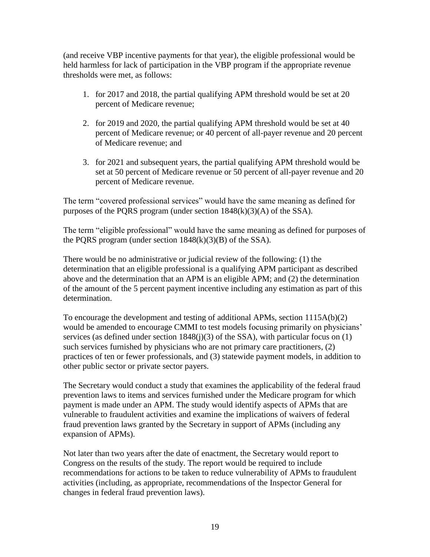(and receive VBP incentive payments for that year), the eligible professional would be held harmless for lack of participation in the VBP program if the appropriate revenue thresholds were met, as follows:

- 1. for 2017 and 2018, the partial qualifying APM threshold would be set at 20 percent of Medicare revenue;
- 2. for 2019 and 2020, the partial qualifying APM threshold would be set at 40 percent of Medicare revenue; or 40 percent of all-payer revenue and 20 percent of Medicare revenue; and
- 3. for 2021 and subsequent years, the partial qualifying APM threshold would be set at 50 percent of Medicare revenue or 50 percent of all-payer revenue and 20 percent of Medicare revenue.

The term "covered professional services" would have the same meaning as defined for purposes of the PQRS program (under section  $1848(k)(3)(A)$  of the SSA).

The term "eligible professional" would have the same meaning as defined for purposes of the PQRS program (under section  $1848(k)(3)(B)$  of the SSA).

There would be no administrative or judicial review of the following: (1) the determination that an eligible professional is a qualifying APM participant as described above and the determination that an APM is an eligible APM; and (2) the determination of the amount of the 5 percent payment incentive including any estimation as part of this determination.

To encourage the development and testing of additional APMs, section 1115A(b)(2) would be amended to encourage CMMI to test models focusing primarily on physicians' services (as defined under section 1848(j)(3) of the SSA), with particular focus on (1) such services furnished by physicians who are not primary care practitioners, (2) practices of ten or fewer professionals, and (3) statewide payment models, in addition to other public sector or private sector payers.

The Secretary would conduct a study that examines the applicability of the federal fraud prevention laws to items and services furnished under the Medicare program for which payment is made under an APM. The study would identify aspects of APMs that are vulnerable to fraudulent activities and examine the implications of waivers of federal fraud prevention laws granted by the Secretary in support of APMs (including any expansion of APMs).

Not later than two years after the date of enactment, the Secretary would report to Congress on the results of the study. The report would be required to include recommendations for actions to be taken to reduce vulnerability of APMs to fraudulent activities (including, as appropriate, recommendations of the Inspector General for changes in federal fraud prevention laws).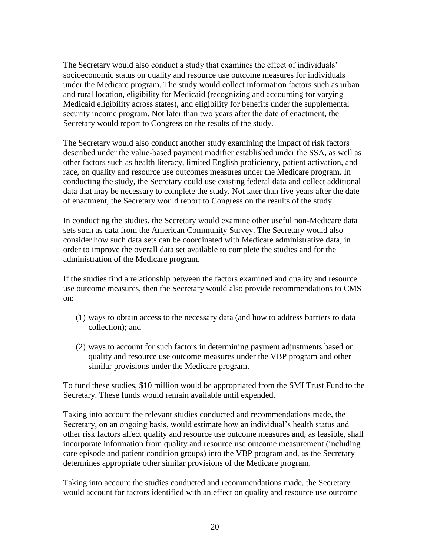The Secretary would also conduct a study that examines the effect of individuals' socioeconomic status on quality and resource use outcome measures for individuals under the Medicare program. The study would collect information factors such as urban and rural location, eligibility for Medicaid (recognizing and accounting for varying Medicaid eligibility across states), and eligibility for benefits under the supplemental security income program. Not later than two years after the date of enactment, the Secretary would report to Congress on the results of the study.

The Secretary would also conduct another study examining the impact of risk factors described under the value-based payment modifier established under the SSA, as well as other factors such as health literacy, limited English proficiency, patient activation, and race, on quality and resource use outcomes measures under the Medicare program. In conducting the study, the Secretary could use existing federal data and collect additional data that may be necessary to complete the study. Not later than five years after the date of enactment, the Secretary would report to Congress on the results of the study.

In conducting the studies, the Secretary would examine other useful non-Medicare data sets such as data from the American Community Survey. The Secretary would also consider how such data sets can be coordinated with Medicare administrative data, in order to improve the overall data set available to complete the studies and for the administration of the Medicare program.

If the studies find a relationship between the factors examined and quality and resource use outcome measures, then the Secretary would also provide recommendations to CMS on:

- (1) ways to obtain access to the necessary data (and how to address barriers to data collection); and
- (2) ways to account for such factors in determining payment adjustments based on quality and resource use outcome measures under the VBP program and other similar provisions under the Medicare program.

To fund these studies, \$10 million would be appropriated from the SMI Trust Fund to the Secretary. These funds would remain available until expended.

Taking into account the relevant studies conducted and recommendations made, the Secretary, on an ongoing basis, would estimate how an individual's health status and other risk factors affect quality and resource use outcome measures and, as feasible, shall incorporate information from quality and resource use outcome measurement (including care episode and patient condition groups) into the VBP program and, as the Secretary determines appropriate other similar provisions of the Medicare program.

Taking into account the studies conducted and recommendations made, the Secretary would account for factors identified with an effect on quality and resource use outcome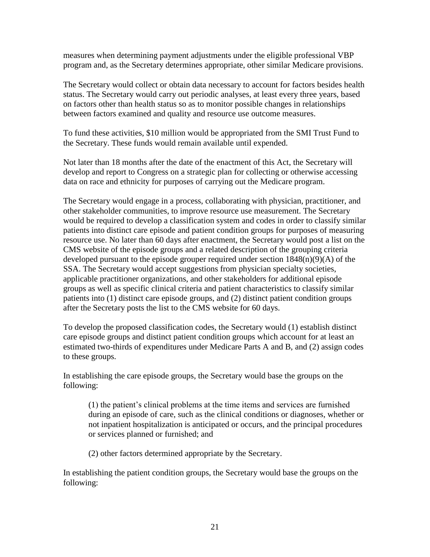measures when determining payment adjustments under the eligible professional VBP program and, as the Secretary determines appropriate, other similar Medicare provisions.

The Secretary would collect or obtain data necessary to account for factors besides health status. The Secretary would carry out periodic analyses, at least every three years, based on factors other than health status so as to monitor possible changes in relationships between factors examined and quality and resource use outcome measures.

To fund these activities, \$10 million would be appropriated from the SMI Trust Fund to the Secretary. These funds would remain available until expended.

Not later than 18 months after the date of the enactment of this Act, the Secretary will develop and report to Congress on a strategic plan for collecting or otherwise accessing data on race and ethnicity for purposes of carrying out the Medicare program.

The Secretary would engage in a process, collaborating with physician, practitioner, and other stakeholder communities, to improve resource use measurement. The Secretary would be required to develop a classification system and codes in order to classify similar patients into distinct care episode and patient condition groups for purposes of measuring resource use. No later than 60 days after enactment, the Secretary would post a list on the CMS website of the episode groups and a related description of the grouping criteria developed pursuant to the episode grouper required under section 1848(n)(9)(A) of the SSA. The Secretary would accept suggestions from physician specialty societies, applicable practitioner organizations, and other stakeholders for additional episode groups as well as specific clinical criteria and patient characteristics to classify similar patients into (1) distinct care episode groups, and (2) distinct patient condition groups after the Secretary posts the list to the CMS website for 60 days.

To develop the proposed classification codes, the Secretary would (1) establish distinct care episode groups and distinct patient condition groups which account for at least an estimated two-thirds of expenditures under Medicare Parts A and B, and (2) assign codes to these groups.

In establishing the care episode groups, the Secretary would base the groups on the following:

(1) the patient's clinical problems at the time items and services are furnished during an episode of care, such as the clinical conditions or diagnoses, whether or not inpatient hospitalization is anticipated or occurs, and the principal procedures or services planned or furnished; and

(2) other factors determined appropriate by the Secretary.

In establishing the patient condition groups, the Secretary would base the groups on the following: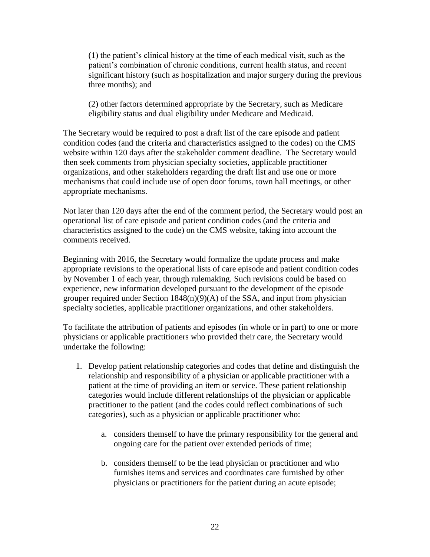(1) the patient's clinical history at the time of each medical visit, such as the patient's combination of chronic conditions, current health status, and recent significant history (such as hospitalization and major surgery during the previous three months); and

(2) other factors determined appropriate by the Secretary, such as Medicare eligibility status and dual eligibility under Medicare and Medicaid.

The Secretary would be required to post a draft list of the care episode and patient condition codes (and the criteria and characteristics assigned to the codes) on the CMS website within 120 days after the stakeholder comment deadline. The Secretary would then seek comments from physician specialty societies, applicable practitioner organizations, and other stakeholders regarding the draft list and use one or more mechanisms that could include use of open door forums, town hall meetings, or other appropriate mechanisms.

Not later than 120 days after the end of the comment period, the Secretary would post an operational list of care episode and patient condition codes (and the criteria and characteristics assigned to the code) on the CMS website, taking into account the comments received.

Beginning with 2016, the Secretary would formalize the update process and make appropriate revisions to the operational lists of care episode and patient condition codes by November 1 of each year, through rulemaking. Such revisions could be based on experience, new information developed pursuant to the development of the episode grouper required under Section  $1848(n)(9)(A)$  of the SSA, and input from physician specialty societies, applicable practitioner organizations, and other stakeholders.

To facilitate the attribution of patients and episodes (in whole or in part) to one or more physicians or applicable practitioners who provided their care, the Secretary would undertake the following:

- 1. Develop patient relationship categories and codes that define and distinguish the relationship and responsibility of a physician or applicable practitioner with a patient at the time of providing an item or service. These patient relationship categories would include different relationships of the physician or applicable practitioner to the patient (and the codes could reflect combinations of such categories), such as a physician or applicable practitioner who:
	- a. considers themself to have the primary responsibility for the general and ongoing care for the patient over extended periods of time;
	- b. considers themself to be the lead physician or practitioner and who furnishes items and services and coordinates care furnished by other physicians or practitioners for the patient during an acute episode;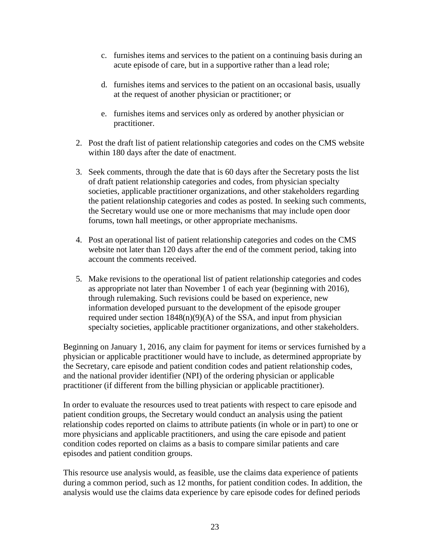- c. furnishes items and services to the patient on a continuing basis during an acute episode of care, but in a supportive rather than a lead role;
- d. furnishes items and services to the patient on an occasional basis, usually at the request of another physician or practitioner; or
- e. furnishes items and services only as ordered by another physician or practitioner.
- 2. Post the draft list of patient relationship categories and codes on the CMS website within 180 days after the date of enactment.
- 3. Seek comments, through the date that is 60 days after the Secretary posts the list of draft patient relationship categories and codes, from physician specialty societies, applicable practitioner organizations, and other stakeholders regarding the patient relationship categories and codes as posted. In seeking such comments, the Secretary would use one or more mechanisms that may include open door forums, town hall meetings, or other appropriate mechanisms.
- 4. Post an operational list of patient relationship categories and codes on the CMS website not later than 120 days after the end of the comment period, taking into account the comments received.
- 5. Make revisions to the operational list of patient relationship categories and codes as appropriate not later than November 1 of each year (beginning with 2016), through rulemaking. Such revisions could be based on experience, new information developed pursuant to the development of the episode grouper required under section  $1848(n)(9)(A)$  of the SSA, and input from physician specialty societies, applicable practitioner organizations, and other stakeholders.

Beginning on January 1, 2016, any claim for payment for items or services furnished by a physician or applicable practitioner would have to include, as determined appropriate by the Secretary, care episode and patient condition codes and patient relationship codes, and the national provider identifier (NPI) of the ordering physician or applicable practitioner (if different from the billing physician or applicable practitioner).

In order to evaluate the resources used to treat patients with respect to care episode and patient condition groups, the Secretary would conduct an analysis using the patient relationship codes reported on claims to attribute patients (in whole or in part) to one or more physicians and applicable practitioners, and using the care episode and patient condition codes reported on claims as a basis to compare similar patients and care episodes and patient condition groups.

This resource use analysis would, as feasible, use the claims data experience of patients during a common period, such as 12 months, for patient condition codes. In addition, the analysis would use the claims data experience by care episode codes for defined periods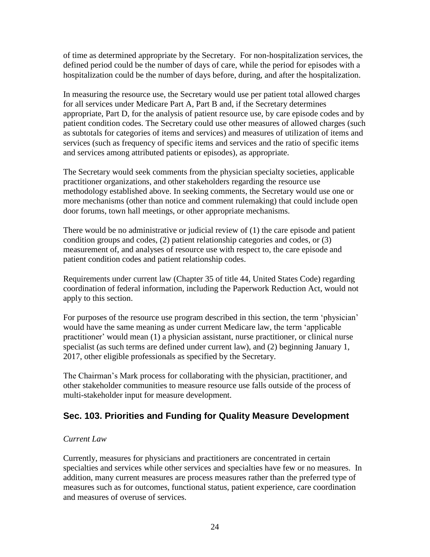of time as determined appropriate by the Secretary. For non-hospitalization services, the defined period could be the number of days of care, while the period for episodes with a hospitalization could be the number of days before, during, and after the hospitalization.

In measuring the resource use, the Secretary would use per patient total allowed charges for all services under Medicare Part A, Part B and, if the Secretary determines appropriate, Part D, for the analysis of patient resource use, by care episode codes and by patient condition codes. The Secretary could use other measures of allowed charges (such as subtotals for categories of items and services) and measures of utilization of items and services (such as frequency of specific items and services and the ratio of specific items and services among attributed patients or episodes), as appropriate.

The Secretary would seek comments from the physician specialty societies, applicable practitioner organizations, and other stakeholders regarding the resource use methodology established above. In seeking comments, the Secretary would use one or more mechanisms (other than notice and comment rulemaking) that could include open door forums, town hall meetings, or other appropriate mechanisms.

There would be no administrative or judicial review of (1) the care episode and patient condition groups and codes, (2) patient relationship categories and codes, or (3) measurement of, and analyses of resource use with respect to, the care episode and patient condition codes and patient relationship codes.

Requirements under current law (Chapter 35 of title 44, United States Code) regarding coordination of federal information, including the Paperwork Reduction Act, would not apply to this section.

For purposes of the resource use program described in this section, the term 'physician' would have the same meaning as under current Medicare law, the term 'applicable practitioner' would mean (1) a physician assistant, nurse practitioner, or clinical nurse specialist (as such terms are defined under current law), and (2) beginning January 1, 2017, other eligible professionals as specified by the Secretary.

The Chairman's Mark process for collaborating with the physician, practitioner, and other stakeholder communities to measure resource use falls outside of the process of multi-stakeholder input for measure development.

### <span id="page-24-0"></span>**Sec. 103. Priorities and Funding for Quality Measure Development**

#### *Current Law*

Currently, measures for physicians and practitioners are concentrated in certain specialties and services while other services and specialties have few or no measures. In addition, many current measures are process measures rather than the preferred type of measures such as for outcomes, functional status, patient experience, care coordination and measures of overuse of services.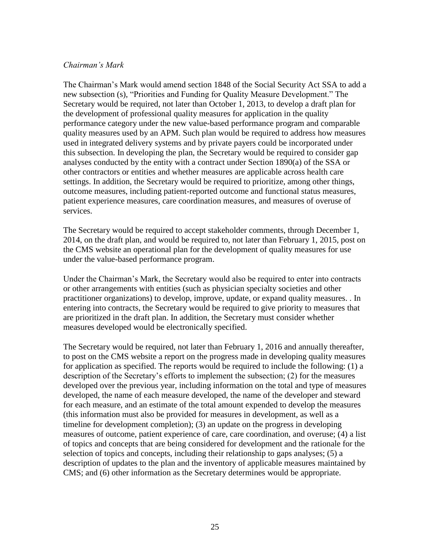#### *Chairman's Mark*

The Chairman's Mark would amend section 1848 of the Social Security Act SSA to add a new subsection (s), "Priorities and Funding for Quality Measure Development." The Secretary would be required, not later than October 1, 2013, to develop a draft plan for the development of professional quality measures for application in the quality performance category under the new value-based performance program and comparable quality measures used by an APM. Such plan would be required to address how measures used in integrated delivery systems and by private payers could be incorporated under this subsection. In developing the plan, the Secretary would be required to consider gap analyses conducted by the entity with a contract under Section 1890(a) of the SSA or other contractors or entities and whether measures are applicable across health care settings. In addition, the Secretary would be required to prioritize, among other things, outcome measures, including patient-reported outcome and functional status measures, patient experience measures, care coordination measures, and measures of overuse of services.

The Secretary would be required to accept stakeholder comments, through December 1, 2014, on the draft plan, and would be required to, not later than February 1, 2015, post on the CMS website an operational plan for the development of quality measures for use under the value-based performance program.

Under the Chairman's Mark, the Secretary would also be required to enter into contracts or other arrangements with entities (such as physician specialty societies and other practitioner organizations) to develop, improve, update, or expand quality measures. . In entering into contracts, the Secretary would be required to give priority to measures that are prioritized in the draft plan. In addition, the Secretary must consider whether measures developed would be electronically specified.

The Secretary would be required, not later than February 1, 2016 and annually thereafter, to post on the CMS website a report on the progress made in developing quality measures for application as specified. The reports would be required to include the following: (1) a description of the Secretary's efforts to implement the subsection; (2) for the measures developed over the previous year, including information on the total and type of measures developed, the name of each measure developed, the name of the developer and steward for each measure, and an estimate of the total amount expended to develop the measures (this information must also be provided for measures in development, as well as a timeline for development completion); (3) an update on the progress in developing measures of outcome, patient experience of care, care coordination, and overuse; (4) a list of topics and concepts that are being considered for development and the rationale for the selection of topics and concepts, including their relationship to gaps analyses; (5) a description of updates to the plan and the inventory of applicable measures maintained by CMS; and (6) other information as the Secretary determines would be appropriate.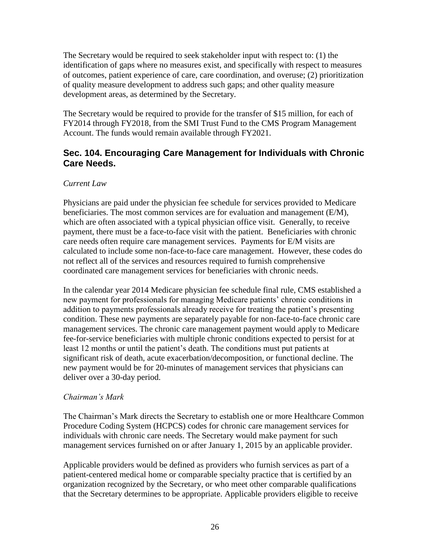The Secretary would be required to seek stakeholder input with respect to: (1) the identification of gaps where no measures exist, and specifically with respect to measures of outcomes, patient experience of care, care coordination, and overuse; (2) prioritization of quality measure development to address such gaps; and other quality measure development areas, as determined by the Secretary.

The Secretary would be required to provide for the transfer of \$15 million, for each of FY2014 through FY2018, from the SMI Trust Fund to the CMS Program Management Account. The funds would remain available through FY2021.

### <span id="page-26-0"></span>**Sec. 104. Encouraging Care Management for Individuals with Chronic Care Needs.**

#### *Current Law*

Physicians are paid under the physician fee schedule for services provided to Medicare beneficiaries. The most common services are for evaluation and management (E/M), which are often associated with a typical physician office visit. Generally, to receive payment, there must be a face-to-face visit with the patient. Beneficiaries with chronic care needs often require care management services. Payments for E/M visits are calculated to include some non-face-to-face care management. However, these codes do not reflect all of the services and resources required to furnish comprehensive coordinated care management services for beneficiaries with chronic needs.

In the calendar year 2014 Medicare physician fee schedule final rule, CMS established a new payment for professionals for managing Medicare patients' chronic conditions in addition to payments professionals already receive for treating the patient's presenting condition. These new payments are separately payable for non-face-to-face chronic care management services. The chronic care management payment would apply to Medicare fee-for-service beneficiaries with multiple chronic conditions expected to persist for at least 12 months or until the patient's death. The conditions must put patients at significant risk of death, acute exacerbation/decomposition, or functional decline. The new payment would be for 20-minutes of management services that physicians can deliver over a 30-day period.

#### *Chairman's Mark*

The Chairman's Mark directs the Secretary to establish one or more Healthcare Common Procedure Coding System (HCPCS) codes for chronic care management services for individuals with chronic care needs. The Secretary would make payment for such management services furnished on or after January 1, 2015 by an applicable provider.

Applicable providers would be defined as providers who furnish services as part of a patient-centered medical home or comparable specialty practice that is certified by an organization recognized by the Secretary, or who meet other comparable qualifications that the Secretary determines to be appropriate. Applicable providers eligible to receive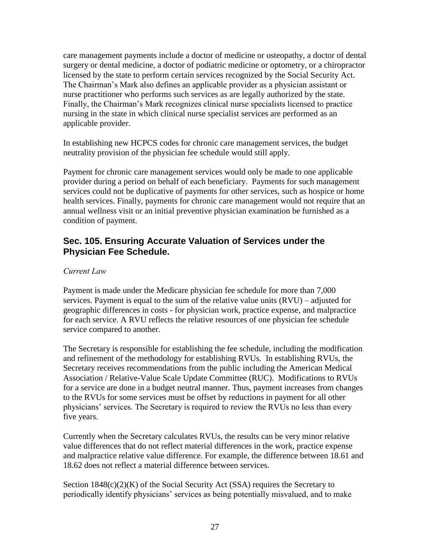care management payments include a doctor of medicine or osteopathy, a doctor of dental surgery or dental medicine, a doctor of podiatric medicine or optometry, or a chiropractor licensed by the state to perform certain services recognized by the Social Security Act. The Chairman's Mark also defines an applicable provider as a physician assistant or nurse practitioner who performs such services as are legally authorized by the state. Finally, the Chairman's Mark recognizes clinical nurse specialists licensed to practice nursing in the state in which clinical nurse specialist services are performed as an applicable provider.

In establishing new HCPCS codes for chronic care management services, the budget neutrality provision of the physician fee schedule would still apply.

Payment for chronic care management services would only be made to one applicable provider during a period on behalf of each beneficiary. Payments for such management services could not be duplicative of payments for other services, such as hospice or home health services. Finally, payments for chronic care management would not require that an annual wellness visit or an initial preventive physician examination be furnished as a condition of payment.

### <span id="page-27-0"></span>**Sec. 105. Ensuring Accurate Valuation of Services under the Physician Fee Schedule.**

#### *Current Law*

Payment is made under the Medicare physician fee schedule for more than 7,000 services. Payment is equal to the sum of the relative value units (RVU) – adjusted for geographic differences in costs - for physician work, practice expense, and malpractice for each service. A RVU reflects the relative resources of one physician fee schedule service compared to another.

The Secretary is responsible for establishing the fee schedule, including the modification and refinement of the methodology for establishing RVUs. In establishing RVUs, the Secretary receives recommendations from the public including the American Medical Association / Relative-Value Scale Update Committee (RUC). Modifications to RVUs for a service are done in a budget neutral manner. Thus, payment increases from changes to the RVUs for some services must be offset by reductions in payment for all other physicians' services. The Secretary is required to review the RVUs no less than every five years.

Currently when the Secretary calculates RVUs, the results can be very minor relative value differences that do not reflect material differences in the work, practice expense and malpractice relative value difference. For example, the difference between 18.61 and 18.62 does not reflect a material difference between services.

Section 1848(c)(2)(K) of the Social Security Act (SSA) requires the Secretary to periodically identify physicians' services as being potentially misvalued, and to make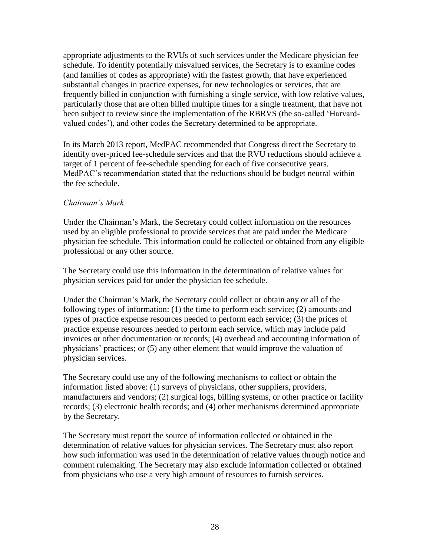appropriate adjustments to the RVUs of such services under the Medicare physician fee schedule. To identify potentially misvalued services, the Secretary is to examine codes (and families of codes as appropriate) with the fastest growth, that have experienced substantial changes in practice expenses, for new technologies or services, that are frequently billed in conjunction with furnishing a single service, with low relative values, particularly those that are often billed multiple times for a single treatment, that have not been subject to review since the implementation of the RBRVS (the so-called 'Harvardvalued codes'), and other codes the Secretary determined to be appropriate.

In its March 2013 report, MedPAC recommended that Congress direct the Secretary to identify over-priced fee-schedule services and that the RVU reductions should achieve a target of 1 percent of fee-schedule spending for each of five consecutive years. MedPAC's recommendation stated that the reductions should be budget neutral within the fee schedule.

#### *Chairman's Mark*

Under the Chairman's Mark, the Secretary could collect information on the resources used by an eligible professional to provide services that are paid under the Medicare physician fee schedule. This information could be collected or obtained from any eligible professional or any other source.

The Secretary could use this information in the determination of relative values for physician services paid for under the physician fee schedule.

Under the Chairman's Mark, the Secretary could collect or obtain any or all of the following types of information: (1) the time to perform each service; (2) amounts and types of practice expense resources needed to perform each service; (3) the prices of practice expense resources needed to perform each service, which may include paid invoices or other documentation or records; (4) overhead and accounting information of physicians' practices; or (5) any other element that would improve the valuation of physician services.

The Secretary could use any of the following mechanisms to collect or obtain the information listed above: (1) surveys of physicians, other suppliers, providers, manufacturers and vendors; (2) surgical logs, billing systems, or other practice or facility records; (3) electronic health records; and (4) other mechanisms determined appropriate by the Secretary.

The Secretary must report the source of information collected or obtained in the determination of relative values for physician services. The Secretary must also report how such information was used in the determination of relative values through notice and comment rulemaking. The Secretary may also exclude information collected or obtained from physicians who use a very high amount of resources to furnish services.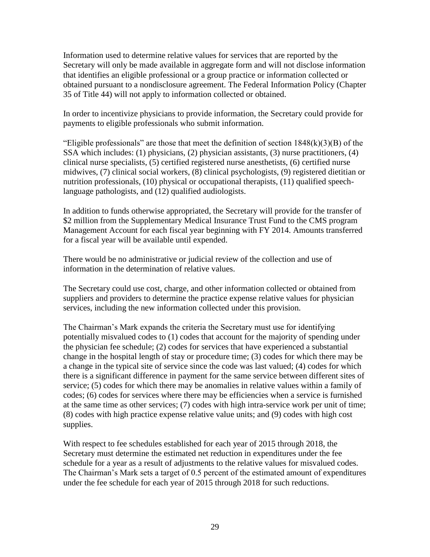Information used to determine relative values for services that are reported by the Secretary will only be made available in aggregate form and will not disclose information that identifies an eligible professional or a group practice or information collected or obtained pursuant to a nondisclosure agreement. The Federal Information Policy (Chapter 35 of Title 44) will not apply to information collected or obtained.

In order to incentivize physicians to provide information, the Secretary could provide for payments to eligible professionals who submit information.

"Eligible professionals" are those that meet the definition of section  $1848(k)(3)(B)$  of the SSA which includes: (1) physicians, (2) physician assistants, (3) nurse practitioners, (4) clinical nurse specialists, (5) certified registered nurse anesthetists, (6) certified nurse midwives, (7) clinical social workers, (8) clinical psychologists, (9) registered dietitian or nutrition professionals, (10) physical or occupational therapists, (11) qualified speechlanguage pathologists, and (12) qualified audiologists.

In addition to funds otherwise appropriated, the Secretary will provide for the transfer of \$2 million from the Supplementary Medical Insurance Trust Fund to the CMS program Management Account for each fiscal year beginning with FY 2014. Amounts transferred for a fiscal year will be available until expended.

There would be no administrative or judicial review of the collection and use of information in the determination of relative values.

The Secretary could use cost, charge, and other information collected or obtained from suppliers and providers to determine the practice expense relative values for physician services, including the new information collected under this provision.

The Chairman's Mark expands the criteria the Secretary must use for identifying potentially misvalued codes to (1) codes that account for the majority of spending under the physician fee schedule; (2) codes for services that have experienced a substantial change in the hospital length of stay or procedure time; (3) codes for which there may be a change in the typical site of service since the code was last valued; (4) codes for which there is a significant difference in payment for the same service between different sites of service; (5) codes for which there may be anomalies in relative values within a family of codes; (6) codes for services where there may be efficiencies when a service is furnished at the same time as other services; (7) codes with high intra-service work per unit of time; (8) codes with high practice expense relative value units; and (9) codes with high cost supplies.

With respect to fee schedules established for each year of 2015 through 2018, the Secretary must determine the estimated net reduction in expenditures under the fee schedule for a year as a result of adjustments to the relative values for misvalued codes. The Chairman's Mark sets a target of 0.5 percent of the estimated amount of expenditures under the fee schedule for each year of 2015 through 2018 for such reductions.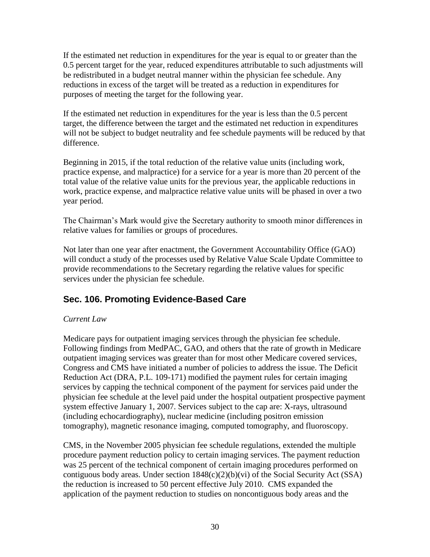If the estimated net reduction in expenditures for the year is equal to or greater than the 0.5 percent target for the year, reduced expenditures attributable to such adjustments will be redistributed in a budget neutral manner within the physician fee schedule. Any reductions in excess of the target will be treated as a reduction in expenditures for purposes of meeting the target for the following year.

If the estimated net reduction in expenditures for the year is less than the 0.5 percent target, the difference between the target and the estimated net reduction in expenditures will not be subject to budget neutrality and fee schedule payments will be reduced by that difference.

Beginning in 2015, if the total reduction of the relative value units (including work, practice expense, and malpractice) for a service for a year is more than 20 percent of the total value of the relative value units for the previous year, the applicable reductions in work, practice expense, and malpractice relative value units will be phased in over a two year period.

The Chairman's Mark would give the Secretary authority to smooth minor differences in relative values for families or groups of procedures.

Not later than one year after enactment, the Government Accountability Office (GAO) will conduct a study of the processes used by Relative Value Scale Update Committee to provide recommendations to the Secretary regarding the relative values for specific services under the physician fee schedule.

# <span id="page-30-0"></span>**Sec. 106. Promoting Evidence-Based Care**

#### *Current Law*

Medicare pays for outpatient imaging services through the physician fee schedule. Following findings from MedPAC, GAO, and others that the rate of growth in Medicare outpatient imaging services was greater than for most other Medicare covered services, Congress and CMS have initiated a number of policies to address the issue. The Deficit Reduction Act (DRA, P.L. 109-171) modified the payment rules for certain imaging services by capping the technical component of the payment for services paid under the physician fee schedule at the level paid under the hospital outpatient prospective payment system effective January 1, 2007. Services subject to the cap are: X-rays, ultrasound (including echocardiography), nuclear medicine (including positron emission tomography), magnetic resonance imaging, computed tomography, and fluoroscopy.

CMS, in the November 2005 physician fee schedule regulations, extended the multiple procedure payment reduction policy to certain imaging services. The payment reduction was 25 percent of the technical component of certain imaging procedures performed on contiguous body areas. Under section  $1848(c)(2)(b)(vi)$  of the Social Security Act (SSA) the reduction is increased to 50 percent effective July 2010. CMS expanded the application of the payment reduction to studies on noncontiguous body areas and the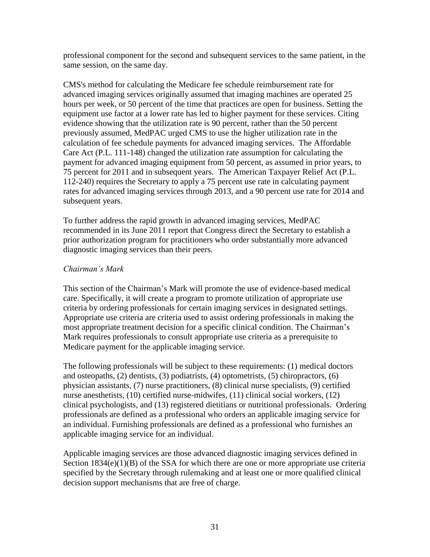professional component for the second and subsequent services to the same patient, in the same session, on the same day.

CMS's method for calculating the Medicare fee schedule reimbursement rate for advanced imaging services originally assumed that imaging machines are operated 25 hours per week, or 50 percent of the time that practices are open for business. Setting the equipment use factor at a lower rate has led to higher payment for these services. Citing evidence showing that the utilization rate is 90 percent, rather than the 50 percent previously assumed, MedPAC urged CMS to use the higher utilization rate in the calculation of fee schedule payments for advanced imaging services. The Affordable Care Act (P.L. 111-148) changed the utilization rate assumption for calculating the payment for advanced imaging equipment from 50 percent, as assumed in prior years, to 75 percent for 2011 and in subsequent years. The American Taxpayer Relief Act (P.L. 112-240) requires the Secretary to apply a 75 percent use rate in calculating payment rates for advanced imaging services through 2013, and a 90 percent use rate for 2014 and subsequent years.

To further address the rapid growth in advanced imaging services, MedPAC recommended in its June 2011 report that Congress direct the Secretary to establish a prior authorization program for practitioners who order substantially more advanced diagnostic imaging services than their peers.

#### *Chairman's Mark*

This section of the Chairman's Mark will promote the use of evidence-based medical care. Specifically, it will create a program to promote utilization of appropriate use criteria by ordering professionals for certain imaging services in designated settings. Appropriate use criteria are criteria used to assist ordering professionals in making the most appropriate treatment decision for a specific clinical condition. The Chairman's Mark requires professionals to consult appropriate use criteria as a prerequisite to Medicare payment for the applicable imaging service.

The following professionals will be subject to these requirements: (1) medical doctors and osteopaths, (2) dentists, (3) podiatrists, (4) optometrists, (5) chiropractors, (6) physician assistants, (7) nurse practitioners, (8) clinical nurse specialists, (9) certified nurse anesthetists, (10) certified nurse-midwifes, (11) clinical social workers, (12) clinical psychologists, and (13) registered dietitians or nutritional professionals. Ordering professionals are defined as a professional who orders an applicable imaging service for an individual. Furnishing professionals are defined as a professional who furnishes an applicable imaging service for an individual.

Applicable imaging services are those advanced diagnostic imaging services defined in Section 1834(e)(1)(B) of the SSA for which there are one or more appropriate use criteria specified by the Secretary through rulemaking and at least one or more qualified clinical decision support mechanisms that are free of charge.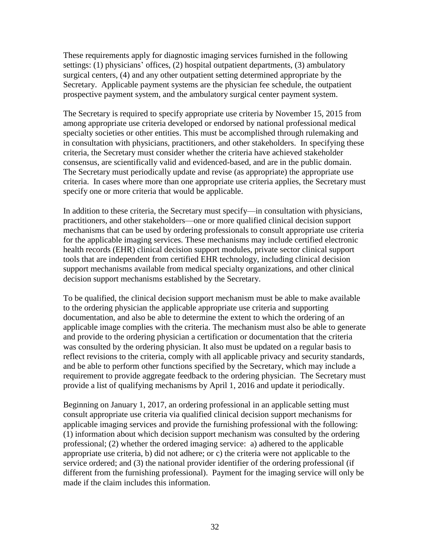These requirements apply for diagnostic imaging services furnished in the following settings: (1) physicians' offices, (2) hospital outpatient departments, (3) ambulatory surgical centers, (4) and any other outpatient setting determined appropriate by the Secretary. Applicable payment systems are the physician fee schedule, the outpatient prospective payment system, and the ambulatory surgical center payment system.

The Secretary is required to specify appropriate use criteria by November 15, 2015 from among appropriate use criteria developed or endorsed by national professional medical specialty societies or other entities. This must be accomplished through rulemaking and in consultation with physicians, practitioners, and other stakeholders. In specifying these criteria, the Secretary must consider whether the criteria have achieved stakeholder consensus, are scientifically valid and evidenced-based, and are in the public domain. The Secretary must periodically update and revise (as appropriate) the appropriate use criteria. In cases where more than one appropriate use criteria applies, the Secretary must specify one or more criteria that would be applicable.

In addition to these criteria, the Secretary must specify—in consultation with physicians, practitioners, and other stakeholders—one or more qualified clinical decision support mechanisms that can be used by ordering professionals to consult appropriate use criteria for the applicable imaging services. These mechanisms may include certified electronic health records (EHR) clinical decision support modules, private sector clinical support tools that are independent from certified EHR technology, including clinical decision support mechanisms available from medical specialty organizations, and other clinical decision support mechanisms established by the Secretary.

To be qualified, the clinical decision support mechanism must be able to make available to the ordering physician the applicable appropriate use criteria and supporting documentation, and also be able to determine the extent to which the ordering of an applicable image complies with the criteria. The mechanism must also be able to generate and provide to the ordering physician a certification or documentation that the criteria was consulted by the ordering physician. It also must be updated on a regular basis to reflect revisions to the criteria, comply with all applicable privacy and security standards, and be able to perform other functions specified by the Secretary, which may include a requirement to provide aggregate feedback to the ordering physician. The Secretary must provide a list of qualifying mechanisms by April 1, 2016 and update it periodically.

Beginning on January 1, 2017, an ordering professional in an applicable setting must consult appropriate use criteria via qualified clinical decision support mechanisms for applicable imaging services and provide the furnishing professional with the following: (1) information about which decision support mechanism was consulted by the ordering professional; (2) whether the ordered imaging service: a) adhered to the applicable appropriate use criteria, b) did not adhere; or c) the criteria were not applicable to the service ordered; and (3) the national provider identifier of the ordering professional (if different from the furnishing professional). Payment for the imaging service will only be made if the claim includes this information.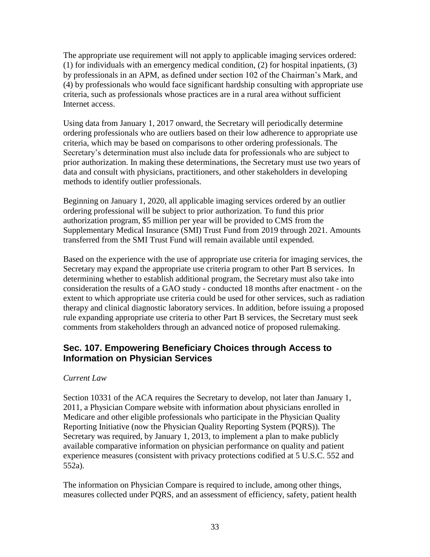The appropriate use requirement will not apply to applicable imaging services ordered: (1) for individuals with an emergency medical condition, (2) for hospital inpatients, (3) by professionals in an APM, as defined under section 102 of the Chairman's Mark, and (4) by professionals who would face significant hardship consulting with appropriate use criteria, such as professionals whose practices are in a rural area without sufficient Internet access.

Using data from January 1, 2017 onward, the Secretary will periodically determine ordering professionals who are outliers based on their low adherence to appropriate use criteria, which may be based on comparisons to other ordering professionals. The Secretary's determination must also include data for professionals who are subject to prior authorization. In making these determinations, the Secretary must use two years of data and consult with physicians, practitioners, and other stakeholders in developing methods to identify outlier professionals.

Beginning on January 1, 2020, all applicable imaging services ordered by an outlier ordering professional will be subject to prior authorization. To fund this prior authorization program, \$5 million per year will be provided to CMS from the Supplementary Medical Insurance (SMI) Trust Fund from 2019 through 2021. Amounts transferred from the SMI Trust Fund will remain available until expended.

Based on the experience with the use of appropriate use criteria for imaging services, the Secretary may expand the appropriate use criteria program to other Part B services. In determining whether to establish additional program, the Secretary must also take into consideration the results of a GAO study - conducted 18 months after enactment - on the extent to which appropriate use criteria could be used for other services, such as radiation therapy and clinical diagnostic laboratory services. In addition, before issuing a proposed rule expanding appropriate use criteria to other Part B services, the Secretary must seek comments from stakeholders through an advanced notice of proposed rulemaking.

### <span id="page-33-0"></span>**Sec. 107. Empowering Beneficiary Choices through Access to Information on Physician Services**

#### *Current Law*

Section 10331 of the ACA requires the Secretary to develop, not later than January 1, 2011, a Physician Compare website with information about physicians enrolled in Medicare and other eligible professionals who participate in the Physician Quality Reporting Initiative (now the Physician Quality Reporting System (PQRS)). The Secretary was required, by January 1, 2013, to implement a plan to make publicly available comparative information on physician performance on quality and patient experience measures (consistent with privacy protections codified at 5 U.S.C. 552 and 552a).

The information on Physician Compare is required to include, among other things, measures collected under PQRS, and an assessment of efficiency, safety, patient health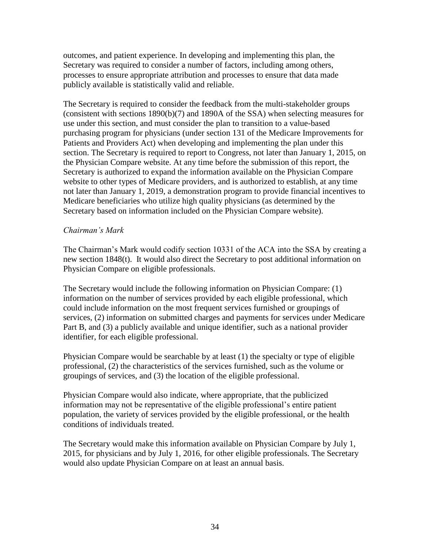outcomes, and patient experience. In developing and implementing this plan, the Secretary was required to consider a number of factors, including among others, processes to ensure appropriate attribution and processes to ensure that data made publicly available is statistically valid and reliable.

The Secretary is required to consider the feedback from the multi-stakeholder groups (consistent with sections 1890(b)(7) and 1890A of the SSA) when selecting measures for use under this section, and must consider the plan to transition to a value-based purchasing program for physicians (under section 131 of the Medicare Improvements for Patients and Providers Act) when developing and implementing the plan under this section. The Secretary is required to report to Congress, not later than January 1, 2015, on the Physician Compare website. At any time before the submission of this report, the Secretary is authorized to expand the information available on the Physician Compare website to other types of Medicare providers, and is authorized to establish, at any time not later than January 1, 2019, a demonstration program to provide financial incentives to Medicare beneficiaries who utilize high quality physicians (as determined by the Secretary based on information included on the Physician Compare website).

#### *Chairman's Mark*

The Chairman's Mark would codify section 10331 of the ACA into the SSA by creating a new section 1848(t). It would also direct the Secretary to post additional information on Physician Compare on eligible professionals.

The Secretary would include the following information on Physician Compare: (1) information on the number of services provided by each eligible professional, which could include information on the most frequent services furnished or groupings of services, (2) information on submitted charges and payments for services under Medicare Part B, and (3) a publicly available and unique identifier, such as a national provider identifier, for each eligible professional.

Physician Compare would be searchable by at least (1) the specialty or type of eligible professional, (2) the characteristics of the services furnished, such as the volume or groupings of services, and (3) the location of the eligible professional.

Physician Compare would also indicate, where appropriate, that the publicized information may not be representative of the eligible professional's entire patient population, the variety of services provided by the eligible professional, or the health conditions of individuals treated.

The Secretary would make this information available on Physician Compare by July 1, 2015, for physicians and by July 1, 2016, for other eligible professionals. The Secretary would also update Physician Compare on at least an annual basis.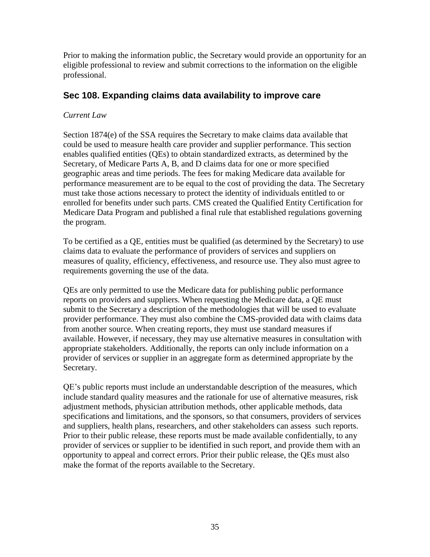Prior to making the information public, the Secretary would provide an opportunity for an eligible professional to review and submit corrections to the information on the eligible professional.

# <span id="page-35-0"></span>**Sec 108. Expanding claims data availability to improve care**

### *Current Law*

Section 1874(e) of the SSA requires the Secretary to make claims data available that could be used to measure health care provider and supplier performance. This section enables qualified entities (QEs) to obtain standardized extracts, as determined by the Secretary, of Medicare Parts A, B, and D claims data for one or more specified geographic areas and time periods. The fees for making Medicare data available for performance measurement are to be equal to the cost of providing the data. The Secretary must take those actions necessary to protect the identity of individuals entitled to or enrolled for benefits under such parts. CMS created the Qualified Entity Certification for Medicare Data Program and published a final rule that established regulations governing the program.

To be certified as a QE, entities must be qualified (as determined by the Secretary) to use claims data to evaluate the performance of providers of services and suppliers on measures of quality, efficiency, effectiveness, and resource use. They also must agree to requirements governing the use of the data.

QEs are only permitted to use the Medicare data for publishing public performance reports on providers and suppliers. When requesting the Medicare data, a QE must submit to the Secretary a description of the methodologies that will be used to evaluate provider performance. They must also combine the CMS-provided data with claims data from another source. When creating reports, they must use standard measures if available. However, if necessary, they may use alternative measures in consultation with appropriate stakeholders. Additionally, the reports can only include information on a provider of services or supplier in an aggregate form as determined appropriate by the Secretary.

QE's public reports must include an understandable description of the measures, which include standard quality measures and the rationale for use of alternative measures, risk adjustment methods, physician attribution methods, other applicable methods, data specifications and limitations, and the sponsors, so that consumers, providers of services and suppliers, health plans, researchers, and other stakeholders can assess such reports. Prior to their public release, these reports must be made available confidentially, to any provider of services or supplier to be identified in such report, and provide them with an opportunity to appeal and correct errors. Prior their public release, the QEs must also make the format of the reports available to the Secretary.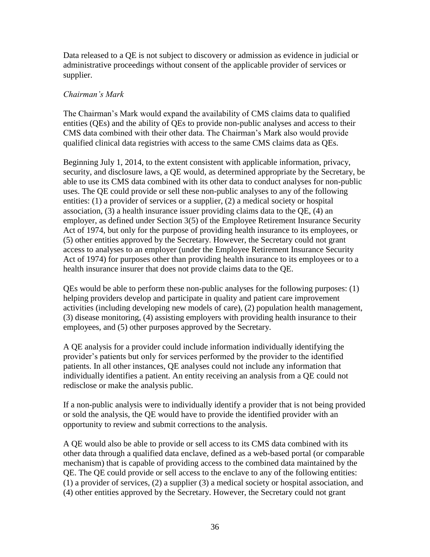Data released to a QE is not subject to discovery or admission as evidence in judicial or administrative proceedings without consent of the applicable provider of services or supplier.

#### *Chairman's Mark*

The Chairman's Mark would expand the availability of CMS claims data to qualified entities (QEs) and the ability of QEs to provide non-public analyses and access to their CMS data combined with their other data. The Chairman's Mark also would provide qualified clinical data registries with access to the same CMS claims data as QEs.

Beginning July 1, 2014, to the extent consistent with applicable information, privacy, security, and disclosure laws, a QE would, as determined appropriate by the Secretary, be able to use its CMS data combined with its other data to conduct analyses for non-public uses. The QE could provide or sell these non-public analyses to any of the following entities: (1) a provider of services or a supplier, (2) a medical society or hospital association, (3) a health insurance issuer providing claims data to the QE, (4) an employer, as defined under Section 3(5) of the Employee Retirement Insurance Security Act of 1974, but only for the purpose of providing health insurance to its employees, or (5) other entities approved by the Secretary. However, the Secretary could not grant access to analyses to an employer (under the Employee Retirement Insurance Security Act of 1974) for purposes other than providing health insurance to its employees or to a health insurance insurer that does not provide claims data to the QE.

QEs would be able to perform these non-public analyses for the following purposes: (1) helping providers develop and participate in quality and patient care improvement activities (including developing new models of care), (2) population health management, (3) disease monitoring, (4) assisting employers with providing health insurance to their employees, and (5) other purposes approved by the Secretary.

A QE analysis for a provider could include information individually identifying the provider's patients but only for services performed by the provider to the identified patients. In all other instances, QE analyses could not include any information that individually identifies a patient. An entity receiving an analysis from a QE could not redisclose or make the analysis public.

If a non-public analysis were to individually identify a provider that is not being provided or sold the analysis, the QE would have to provide the identified provider with an opportunity to review and submit corrections to the analysis.

A QE would also be able to provide or sell access to its CMS data combined with its other data through a qualified data enclave, defined as a web-based portal (or comparable mechanism) that is capable of providing access to the combined data maintained by the QE. The QE could provide or sell access to the enclave to any of the following entities: (1) a provider of services, (2) a supplier (3) a medical society or hospital association, and (4) other entities approved by the Secretary. However, the Secretary could not grant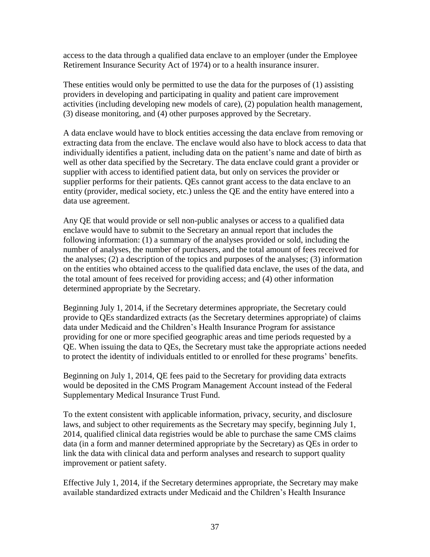access to the data through a qualified data enclave to an employer (under the Employee Retirement Insurance Security Act of 1974) or to a health insurance insurer.

These entities would only be permitted to use the data for the purposes of (1) assisting providers in developing and participating in quality and patient care improvement activities (including developing new models of care), (2) population health management, (3) disease monitoring, and (4) other purposes approved by the Secretary.

A data enclave would have to block entities accessing the data enclave from removing or extracting data from the enclave. The enclave would also have to block access to data that individually identifies a patient, including data on the patient's name and date of birth as well as other data specified by the Secretary. The data enclave could grant a provider or supplier with access to identified patient data, but only on services the provider or supplier performs for their patients. QEs cannot grant access to the data enclave to an entity (provider, medical society, etc.) unless the QE and the entity have entered into a data use agreement.

Any QE that would provide or sell non-public analyses or access to a qualified data enclave would have to submit to the Secretary an annual report that includes the following information: (1) a summary of the analyses provided or sold, including the number of analyses, the number of purchasers, and the total amount of fees received for the analyses; (2) a description of the topics and purposes of the analyses; (3) information on the entities who obtained access to the qualified data enclave, the uses of the data, and the total amount of fees received for providing access; and (4) other information determined appropriate by the Secretary.

Beginning July 1, 2014, if the Secretary determines appropriate, the Secretary could provide to QEs standardized extracts (as the Secretary determines appropriate) of claims data under Medicaid and the Children's Health Insurance Program for assistance providing for one or more specified geographic areas and time periods requested by a QE. When issuing the data to QEs, the Secretary must take the appropriate actions needed to protect the identity of individuals entitled to or enrolled for these programs' benefits.

Beginning on July 1, 2014, QE fees paid to the Secretary for providing data extracts would be deposited in the CMS Program Management Account instead of the Federal Supplementary Medical Insurance Trust Fund.

To the extent consistent with applicable information, privacy, security, and disclosure laws, and subject to other requirements as the Secretary may specify, beginning July 1, 2014, qualified clinical data registries would be able to purchase the same CMS claims data (in a form and manner determined appropriate by the Secretary) as QEs in order to link the data with clinical data and perform analyses and research to support quality improvement or patient safety.

Effective July 1, 2014, if the Secretary determines appropriate, the Secretary may make available standardized extracts under Medicaid and the Children's Health Insurance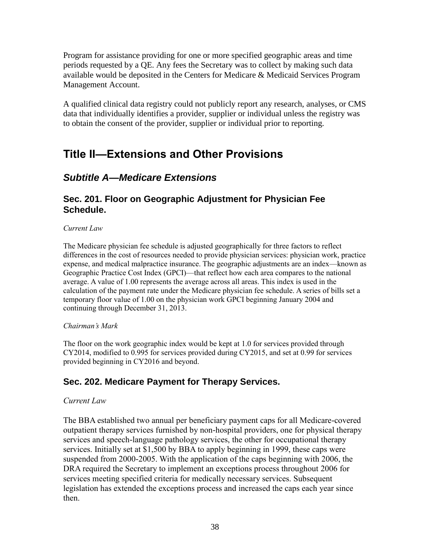Program for assistance providing for one or more specified geographic areas and time periods requested by a QE. Any fees the Secretary was to collect by making such data available would be deposited in the Centers for Medicare & Medicaid Services Program Management Account.

A qualified clinical data registry could not publicly report any research, analyses, or CMS data that individually identifies a provider, supplier or individual unless the registry was to obtain the consent of the provider, supplier or individual prior to reporting.

# <span id="page-38-0"></span>**Title II—Extensions and Other Provisions**

# <span id="page-38-1"></span>*Subtitle A—Medicare Extensions*

### <span id="page-38-2"></span>**Sec. 201. Floor on Geographic Adjustment for Physician Fee Schedule.**

#### *Current Law*

The Medicare physician fee schedule is adjusted geographically for three factors to reflect differences in the cost of resources needed to provide physician services: physician work, practice expense, and medical malpractice insurance. The geographic adjustments are an index—known as Geographic Practice Cost Index (GPCI)—that reflect how each area compares to the national average. A value of 1.00 represents the average across all areas. This index is used in the calculation of the payment rate under the Medicare physician fee schedule. A series of bills set a temporary floor value of 1.00 on the physician work GPCI beginning January 2004 and continuing through December 31, 2013.

#### *Chairman's Mark*

The floor on the work geographic index would be kept at 1.0 for services provided through CY2014, modified to 0.995 for services provided during CY2015, and set at 0.99 for services provided beginning in CY2016 and beyond.

### <span id="page-38-3"></span>**Sec. 202. Medicare Payment for Therapy Services.**

#### *Current Law*

The BBA established two annual per beneficiary payment caps for all Medicare-covered outpatient therapy services furnished by non-hospital providers, one for physical therapy services and speech-language pathology services, the other for occupational therapy services. Initially set at \$1,500 by BBA to apply beginning in 1999, these caps were suspended from 2000-2005. With the application of the caps beginning with 2006, the DRA required the Secretary to implement an exceptions process throughout 2006 for services meeting specified criteria for medically necessary services. Subsequent legislation has extended the exceptions process and increased the caps each year since then.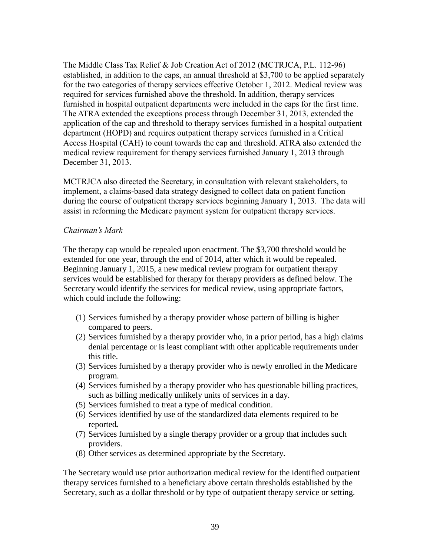The Middle Class Tax Relief & Job Creation Act of 2012 (MCTRJCA, P.L. 112-96) established, in addition to the caps, an annual threshold at \$3,700 to be applied separately for the two categories of therapy services effective October 1, 2012. Medical review was required for services furnished above the threshold. In addition, therapy services furnished in hospital outpatient departments were included in the caps for the first time. The ATRA extended the exceptions process through December 31, 2013, extended the application of the cap and threshold to therapy services furnished in a hospital outpatient department (HOPD) and requires outpatient therapy services furnished in a Critical Access Hospital (CAH) to count towards the cap and threshold. ATRA also extended the medical review requirement for therapy services furnished January 1, 2013 through December 31, 2013.

MCTRJCA also directed the Secretary, in consultation with relevant stakeholders, to implement, a claims-based data strategy designed to collect data on patient function during the course of outpatient therapy services beginning January 1, 2013. The data will assist in reforming the Medicare payment system for outpatient therapy services.

#### *Chairman's Mark*

The therapy cap would be repealed upon enactment. The \$3,700 threshold would be extended for one year, through the end of 2014, after which it would be repealed. Beginning January 1, 2015, a new medical review program for outpatient therapy services would be established for therapy for therapy providers as defined below. The Secretary would identify the services for medical review, using appropriate factors, which could include the following:

- (1) Services furnished by a therapy provider whose pattern of billing is higher compared to peers.
- (2) Services furnished by a therapy provider who, in a prior period, has a high claims denial percentage or is least compliant with other applicable requirements under this title.
- (3) Services furnished by a therapy provider who is newly enrolled in the Medicare program.
- (4) Services furnished by a therapy provider who has questionable billing practices, such as billing medically unlikely units of services in a day.
- (5) Services furnished to treat a type of medical condition.
- (6) Services identified by use of the standardized data elements required to be reported*.*
- (7) Services furnished by a single therapy provider or a group that includes such providers.
- (8) Other services as determined appropriate by the Secretary.

The Secretary would use prior authorization medical review for the identified outpatient therapy services furnished to a beneficiary above certain thresholds established by the Secretary, such as a dollar threshold or by type of outpatient therapy service or setting.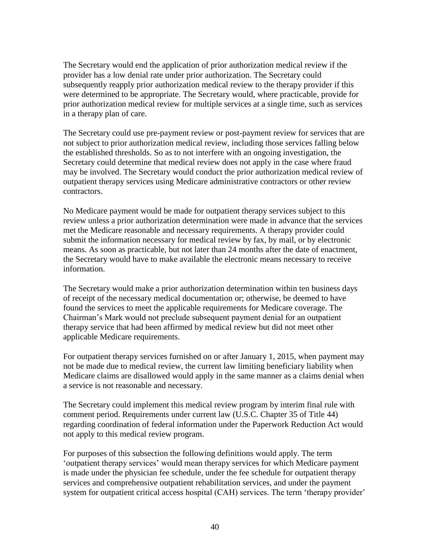The Secretary would end the application of prior authorization medical review if the provider has a low denial rate under prior authorization. The Secretary could subsequently reapply prior authorization medical review to the therapy provider if this were determined to be appropriate. The Secretary would, where practicable, provide for prior authorization medical review for multiple services at a single time, such as services in a therapy plan of care.

The Secretary could use pre-payment review or post-payment review for services that are not subject to prior authorization medical review, including those services falling below the established thresholds. So as to not interfere with an ongoing investigation, the Secretary could determine that medical review does not apply in the case where fraud may be involved. The Secretary would conduct the prior authorization medical review of outpatient therapy services using Medicare administrative contractors or other review contractors.

No Medicare payment would be made for outpatient therapy services subject to this review unless a prior authorization determination were made in advance that the services met the Medicare reasonable and necessary requirements. A therapy provider could submit the information necessary for medical review by fax, by mail, or by electronic means. As soon as practicable, but not later than 24 months after the date of enactment, the Secretary would have to make available the electronic means necessary to receive information.

The Secretary would make a prior authorization determination within ten business days of receipt of the necessary medical documentation or; otherwise, be deemed to have found the services to meet the applicable requirements for Medicare coverage. The Chairman's Mark would not preclude subsequent payment denial for an outpatient therapy service that had been affirmed by medical review but did not meet other applicable Medicare requirements.

For outpatient therapy services furnished on or after January 1, 2015, when payment may not be made due to medical review, the current law limiting beneficiary liability when Medicare claims are disallowed would apply in the same manner as a claims denial when a service is not reasonable and necessary.

The Secretary could implement this medical review program by interim final rule with comment period. Requirements under current law (U.S.C. Chapter 35 of Title 44) regarding coordination of federal information under the Paperwork Reduction Act would not apply to this medical review program.

For purposes of this subsection the following definitions would apply. The term 'outpatient therapy services' would mean therapy services for which Medicare payment is made under the physician fee schedule, under the fee schedule for outpatient therapy services and comprehensive outpatient rehabilitation services, and under the payment system for outpatient critical access hospital (CAH) services. The term 'therapy provider'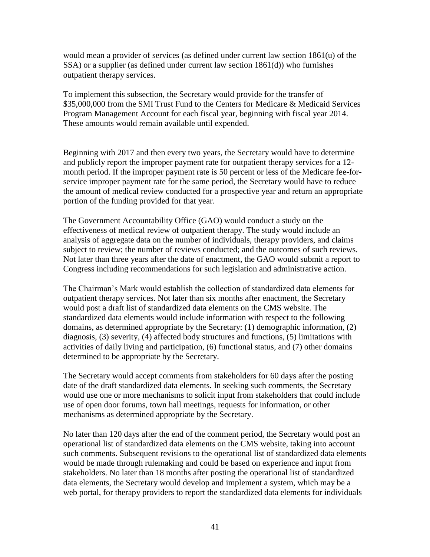would mean a provider of services (as defined under current law section 1861(u) of the SSA) or a supplier (as defined under current law section 1861(d)) who furnishes outpatient therapy services.

To implement this subsection, the Secretary would provide for the transfer of \$35,000,000 from the SMI Trust Fund to the Centers for Medicare & Medicaid Services Program Management Account for each fiscal year, beginning with fiscal year 2014. These amounts would remain available until expended.

Beginning with 2017 and then every two years, the Secretary would have to determine and publicly report the improper payment rate for outpatient therapy services for a 12 month period. If the improper payment rate is 50 percent or less of the Medicare fee-forservice improper payment rate for the same period, the Secretary would have to reduce the amount of medical review conducted for a prospective year and return an appropriate portion of the funding provided for that year.

The Government Accountability Office (GAO) would conduct a study on the effectiveness of medical review of outpatient therapy. The study would include an analysis of aggregate data on the number of individuals, therapy providers, and claims subject to review; the number of reviews conducted; and the outcomes of such reviews. Not later than three years after the date of enactment, the GAO would submit a report to Congress including recommendations for such legislation and administrative action.

The Chairman's Mark would establish the collection of standardized data elements for outpatient therapy services. Not later than six months after enactment, the Secretary would post a draft list of standardized data elements on the CMS website. The standardized data elements would include information with respect to the following domains, as determined appropriate by the Secretary: (1) demographic information, (2) diagnosis, (3) severity, (4) affected body structures and functions, (5) limitations with activities of daily living and participation, (6) functional status, and (7) other domains determined to be appropriate by the Secretary.

The Secretary would accept comments from stakeholders for 60 days after the posting date of the draft standardized data elements. In seeking such comments, the Secretary would use one or more mechanisms to solicit input from stakeholders that could include use of open door forums, town hall meetings, requests for information, or other mechanisms as determined appropriate by the Secretary.

No later than 120 days after the end of the comment period, the Secretary would post an operational list of standardized data elements on the CMS website, taking into account such comments. Subsequent revisions to the operational list of standardized data elements would be made through rulemaking and could be based on experience and input from stakeholders. No later than 18 months after posting the operational list of standardized data elements, the Secretary would develop and implement a system, which may be a web portal, for therapy providers to report the standardized data elements for individuals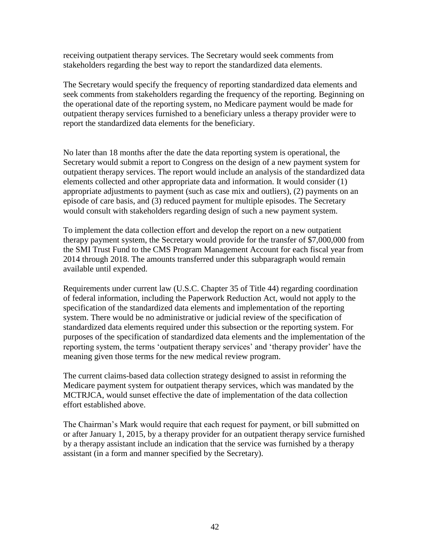receiving outpatient therapy services. The Secretary would seek comments from stakeholders regarding the best way to report the standardized data elements.

The Secretary would specify the frequency of reporting standardized data elements and seek comments from stakeholders regarding the frequency of the reporting. Beginning on the operational date of the reporting system, no Medicare payment would be made for outpatient therapy services furnished to a beneficiary unless a therapy provider were to report the standardized data elements for the beneficiary.

No later than 18 months after the date the data reporting system is operational, the Secretary would submit a report to Congress on the design of a new payment system for outpatient therapy services. The report would include an analysis of the standardized data elements collected and other appropriate data and information. It would consider (1) appropriate adjustments to payment (such as case mix and outliers), (2) payments on an episode of care basis, and (3) reduced payment for multiple episodes. The Secretary would consult with stakeholders regarding design of such a new payment system.

To implement the data collection effort and develop the report on a new outpatient therapy payment system, the Secretary would provide for the transfer of \$7,000,000 from the SMI Trust Fund to the CMS Program Management Account for each fiscal year from 2014 through 2018. The amounts transferred under this subparagraph would remain available until expended.

Requirements under current law (U.S.C. Chapter 35 of Title 44) regarding coordination of federal information, including the Paperwork Reduction Act, would not apply to the specification of the standardized data elements and implementation of the reporting system. There would be no administrative or judicial review of the specification of standardized data elements required under this subsection or the reporting system. For purposes of the specification of standardized data elements and the implementation of the reporting system, the terms 'outpatient therapy services' and 'therapy provider' have the meaning given those terms for the new medical review program.

The current claims-based data collection strategy designed to assist in reforming the Medicare payment system for outpatient therapy services, which was mandated by the MCTRJCA, would sunset effective the date of implementation of the data collection effort established above.

<span id="page-42-0"></span>The Chairman's Mark would require that each request for payment, or bill submitted on or after January 1, 2015, by a therapy provider for an outpatient therapy service furnished by a therapy assistant include an indication that the service was furnished by a therapy assistant (in a form and manner specified by the Secretary).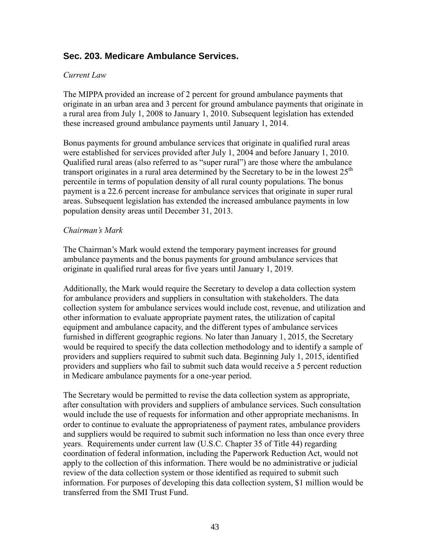### **Sec. 203. Medicare Ambulance Services.**

#### *Current Law*

The MIPPA provided an increase of 2 percent for ground ambulance payments that originate in an urban area and 3 percent for ground ambulance payments that originate in a rural area from July 1, 2008 to January 1, 2010. Subsequent legislation has extended these increased ground ambulance payments until January 1, 2014.

Bonus payments for ground ambulance services that originate in qualified rural areas were established for services provided after July 1, 2004 and before January 1, 2010. Qualified rural areas (also referred to as "super rural") are those where the ambulance transport originates in a rural area determined by the Secretary to be in the lowest  $25<sup>th</sup>$ percentile in terms of population density of all rural county populations. The bonus payment is a 22.6 percent increase for ambulance services that originate in super rural areas. Subsequent legislation has extended the increased ambulance payments in low population density areas until December 31, 2013.

#### *Chairman's Mark*

The Chairman's Mark would extend the temporary payment increases for ground ambulance payments and the bonus payments for ground ambulance services that originate in qualified rural areas for five years until January 1, 2019.

Additionally, the Mark would require the Secretary to develop a data collection system for ambulance providers and suppliers in consultation with stakeholders. The data collection system for ambulance services would include cost, revenue, and utilization and other information to evaluate appropriate payment rates, the utilization of capital equipment and ambulance capacity, and the different types of ambulance services furnished in different geographic regions. No later than January 1, 2015, the Secretary would be required to specify the data collection methodology and to identify a sample of providers and suppliers required to submit such data. Beginning July 1, 2015, identified providers and suppliers who fail to submit such data would receive a 5 percent reduction in Medicare ambulance payments for a one-year period.

The Secretary would be permitted to revise the data collection system as appropriate, after consultation with providers and suppliers of ambulance services. Such consultation would include the use of requests for information and other appropriate mechanisms. In order to continue to evaluate the appropriateness of payment rates, ambulance providers and suppliers would be required to submit such information no less than once every three years. Requirements under current law (U.S.C. Chapter 35 of Title 44) regarding coordination of federal information, including the Paperwork Reduction Act, would not apply to the collection of this information. There would be no administrative or judicial review of the data collection system or those identified as required to submit such information. For purposes of developing this data collection system, \$1 million would be transferred from the SMI Trust Fund.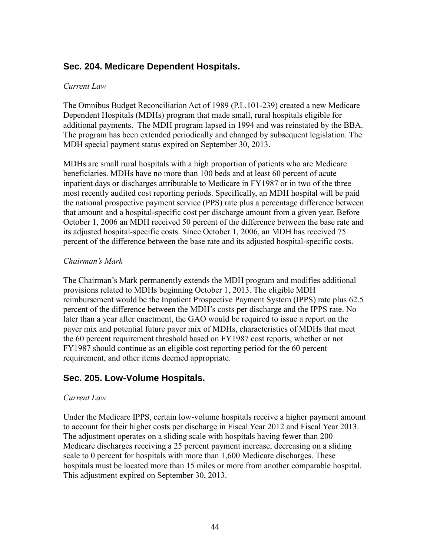### <span id="page-44-0"></span>**Sec. 204. Medicare Dependent Hospitals.**

#### *Current Law*

The Omnibus Budget Reconciliation Act of 1989 (P.L.101-239) created a new Medicare Dependent Hospitals (MDHs) program that made small, rural hospitals eligible for additional payments. The MDH program lapsed in 1994 and was reinstated by the BBA. The program has been extended periodically and changed by subsequent legislation. The MDH special payment status expired on September 30, 2013.

MDHs are small rural hospitals with a high proportion of patients who are Medicare beneficiaries. MDHs have no more than 100 beds and at least 60 percent of acute inpatient days or discharges attributable to Medicare in FY1987 or in two of the three most recently audited cost reporting periods. Specifically, an MDH hospital will be paid the national prospective payment service (PPS) rate plus a percentage difference between that amount and a hospital-specific cost per discharge amount from a given year. Before October 1, 2006 an MDH received 50 percent of the difference between the base rate and its adjusted hospital-specific costs. Since October 1, 2006, an MDH has received 75 percent of the difference between the base rate and its adjusted hospital-specific costs.

#### *Chairman's Mark*

The Chairman's Mark permanently extends the MDH program and modifies additional provisions related to MDHs beginning October 1, 2013. The eligible MDH reimbursement would be the Inpatient Prospective Payment System (IPPS) rate plus 62.5 percent of the difference between the MDH's costs per discharge and the IPPS rate. No later than a year after enactment, the GAO would be required to issue a report on the payer mix and potential future payer mix of MDHs, characteristics of MDHs that meet the 60 percent requirement threshold based on FY1987 cost reports, whether or not FY1987 should continue as an eligible cost reporting period for the 60 percent requirement, and other items deemed appropriate.

### <span id="page-44-1"></span>**Sec. 205. Low-Volume Hospitals.**

#### *Current Law*

Under the Medicare IPPS, certain low-volume hospitals receive a higher payment amount to account for their higher costs per discharge in Fiscal Year 2012 and Fiscal Year 2013. The adjustment operates on a sliding scale with hospitals having fewer than 200 Medicare discharges receiving a 25 percent payment increase, decreasing on a sliding scale to 0 percent for hospitals with more than 1,600 Medicare discharges. These hospitals must be located more than 15 miles or more from another comparable hospital. This adjustment expired on September 30, 2013.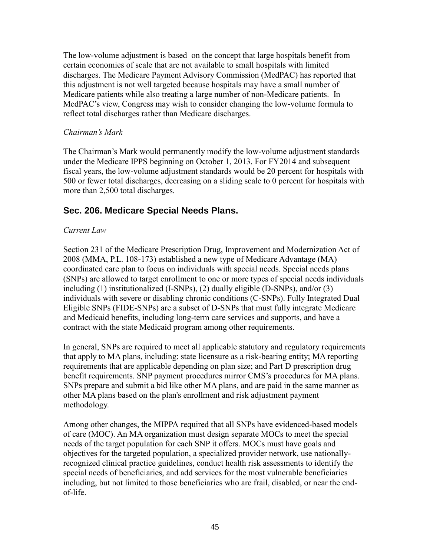The low-volume adjustment is based on the concept that large hospitals benefit from certain economies of scale that are not available to small hospitals with limited discharges. The Medicare Payment Advisory Commission (MedPAC) has reported that this adjustment is not well targeted because hospitals may have a small number of Medicare patients while also treating a large number of non-Medicare patients. In MedPAC's view, Congress may wish to consider changing the low-volume formula to reflect total discharges rather than Medicare discharges.

#### *Chairman's Mark*

The Chairman's Mark would permanently modify the low-volume adjustment standards under the Medicare IPPS beginning on October 1, 2013. For FY2014 and subsequent fiscal years, the low-volume adjustment standards would be 20 percent for hospitals with 500 or fewer total discharges, decreasing on a sliding scale to 0 percent for hospitals with more than 2,500 total discharges.

### <span id="page-45-0"></span>**Sec. 206. Medicare Special Needs Plans.**

#### *Current Law*

Section 231 of the Medicare Prescription Drug, Improvement and Modernization Act of 2008 (MMA, P.L. 108-173) established a new type of Medicare Advantage (MA) coordinated care plan to focus on individuals with special needs. Special needs plans (SNPs) are allowed to target enrollment to one or more types of special needs individuals including (1) institutionalized (I-SNPs), (2) dually eligible (D-SNPs), and/or (3) individuals with severe or disabling chronic conditions (C-SNPs). Fully Integrated Dual Eligible SNPs (FIDE-SNPs) are a subset of D-SNPs that must fully integrate Medicare and Medicaid benefits, including long-term care services and supports, and have a contract with the state Medicaid program among other requirements.

In general, SNPs are required to meet all applicable statutory and regulatory requirements that apply to MA plans, including: state licensure as a risk-bearing entity; MA reporting requirements that are applicable depending on plan size; and Part D prescription drug benefit requirements. SNP payment procedures mirror CMS's procedures for MA plans. SNPs prepare and submit a bid like other MA plans, and are paid in the same manner as other MA plans based on the plan's enrollment and risk adjustment payment methodology.

Among other changes, the MIPPA required that all SNPs have evidenced-based models of care (MOC). An MA organization must design separate MOCs to meet the special needs of the target population for each SNP it offers. MOCs must have goals and objectives for the targeted population, a specialized provider network, use nationallyrecognized clinical practice guidelines, conduct health risk assessments to identify the special needs of beneficiaries, and add services for the most vulnerable beneficiaries including, but not limited to those beneficiaries who are frail, disabled, or near the endof-life.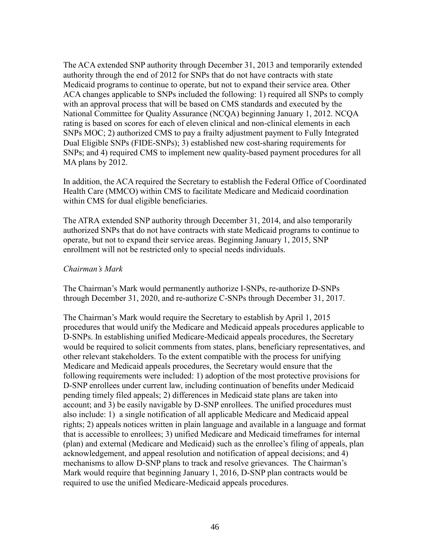The ACA extended SNP authority through December 31, 2013 and temporarily extended authority through the end of 2012 for SNPs that do not have contracts with state Medicaid programs to continue to operate, but not to expand their service area. Other ACA changes applicable to SNPs included the following: 1) required all SNPs to comply with an approval process that will be based on CMS standards and executed by the National Committee for Quality Assurance (NCQA) beginning January 1, 2012. NCQA rating is based on scores for each of eleven clinical and non-clinical elements in each SNPs MOC; 2) authorized CMS to pay a frailty adjustment payment to Fully Integrated Dual Eligible SNPs (FIDE-SNPs); 3) established new cost-sharing requirements for SNPs; and 4) required CMS to implement new quality-based payment procedures for all MA plans by 2012.

In addition, the ACA required the Secretary to establish the Federal Office of Coordinated Health Care (MMCO) within CMS to facilitate Medicare and Medicaid coordination within CMS for dual eligible beneficiaries.

The ATRA extended SNP authority through December 31, 2014, and also temporarily authorized SNPs that do not have contracts with state Medicaid programs to continue to operate, but not to expand their service areas. Beginning January 1, 2015, SNP enrollment will not be restricted only to special needs individuals.

#### *Chairman's Mark*

The Chairman's Mark would permanently authorize I-SNPs, re-authorize D-SNPs through December 31, 2020, and re-authorize C-SNPs through December 31, 2017.

The Chairman's Mark would require the Secretary to establish by April 1, 2015 procedures that would unify the Medicare and Medicaid appeals procedures applicable to D-SNPs. In establishing unified Medicare-Medicaid appeals procedures, the Secretary would be required to solicit comments from states, plans, beneficiary representatives, and other relevant stakeholders. To the extent compatible with the process for unifying Medicare and Medicaid appeals procedures, the Secretary would ensure that the following requirements were included: 1) adoption of the most protective provisions for D-SNP enrollees under current law, including continuation of benefits under Medicaid pending timely filed appeals; 2) differences in Medicaid state plans are taken into account; and 3) be easily navigable by D-SNP enrollees. The unified procedures must also include: 1) a single notification of all applicable Medicare and Medicaid appeal rights; 2) appeals notices written in plain language and available in a language and format that is accessible to enrollees; 3) unified Medicare and Medicaid timeframes for internal (plan) and external (Medicare and Medicaid) such as the enrollee's filing of appeals, plan acknowledgement, and appeal resolution and notification of appeal decisions; and 4) mechanisms to allow D-SNP plans to track and resolve grievances. The Chairman's Mark would require that beginning January 1, 2016, D-SNP plan contracts would be required to use the unified Medicare-Medicaid appeals procedures.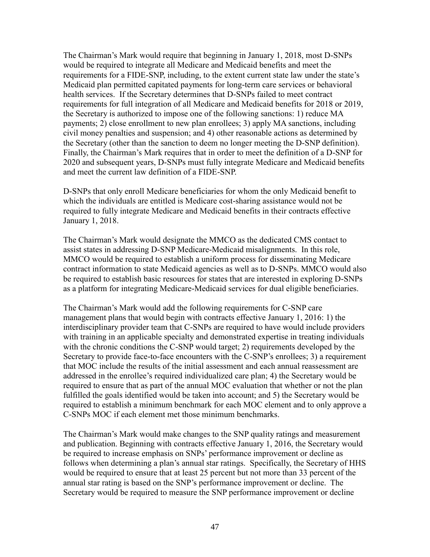The Chairman's Mark would require that beginning in January 1, 2018, most D-SNPs would be required to integrate all Medicare and Medicaid benefits and meet the requirements for a FIDE-SNP, including, to the extent current state law under the state's Medicaid plan permitted capitated payments for long-term care services or behavioral health services. If the Secretary determines that D-SNPs failed to meet contract requirements for full integration of all Medicare and Medicaid benefits for 2018 or 2019, the Secretary is authorized to impose one of the following sanctions: 1) reduce MA payments; 2) close enrollment to new plan enrollees; 3) apply MA sanctions, including civil money penalties and suspension; and 4) other reasonable actions as determined by the Secretary (other than the sanction to deem no longer meeting the D-SNP definition). Finally, the Chairman's Mark requires that in order to meet the definition of a D-SNP for 2020 and subsequent years, D-SNPs must fully integrate Medicare and Medicaid benefits and meet the current law definition of a FIDE-SNP.

D-SNPs that only enroll Medicare beneficiaries for whom the only Medicaid benefit to which the individuals are entitled is Medicare cost-sharing assistance would not be required to fully integrate Medicare and Medicaid benefits in their contracts effective January 1, 2018.

The Chairman's Mark would designate the MMCO as the dedicated CMS contact to assist states in addressing D-SNP Medicare-Medicaid misalignments. In this role, MMCO would be required to establish a uniform process for disseminating Medicare contract information to state Medicaid agencies as well as to D-SNPs. MMCO would also be required to establish basic resources for states that are interested in exploring D-SNPs as a platform for integrating Medicare-Medicaid services for dual eligible beneficiaries.

The Chairman's Mark would add the following requirements for C-SNP care management plans that would begin with contracts effective January 1, 2016: 1) the interdisciplinary provider team that C-SNPs are required to have would include providers with training in an applicable specialty and demonstrated expertise in treating individuals with the chronic conditions the C-SNP would target; 2) requirements developed by the Secretary to provide face-to-face encounters with the C-SNP's enrollees; 3) a requirement that MOC include the results of the initial assessment and each annual reassessment are addressed in the enrollee's required individualized care plan; 4) the Secretary would be required to ensure that as part of the annual MOC evaluation that whether or not the plan fulfilled the goals identified would be taken into account; and 5) the Secretary would be required to establish a minimum benchmark for each MOC element and to only approve a C-SNPs MOC if each element met those minimum benchmarks.

The Chairman's Mark would make changes to the SNP quality ratings and measurement and publication. Beginning with contracts effective January 1, 2016, the Secretary would be required to increase emphasis on SNPs' performance improvement or decline as follows when determining a plan's annual star ratings. Specifically, the Secretary of HHS would be required to ensure that at least 25 percent but not more than 33 percent of the annual star rating is based on the SNP's performance improvement or decline. The Secretary would be required to measure the SNP performance improvement or decline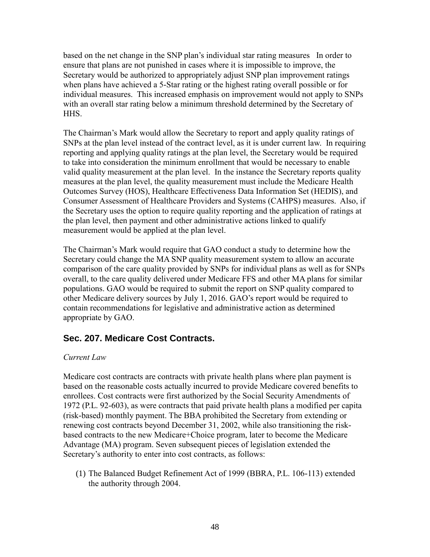based on the net change in the SNP plan's individual star rating measures In order to ensure that plans are not punished in cases where it is impossible to improve, the Secretary would be authorized to appropriately adjust SNP plan improvement ratings when plans have achieved a 5-Star rating or the highest rating overall possible or for individual measures. This increased emphasis on improvement would not apply to SNPs with an overall star rating below a minimum threshold determined by the Secretary of **HHS** 

The Chairman's Mark would allow the Secretary to report and apply quality ratings of SNPs at the plan level instead of the contract level, as it is under current law. In requiring reporting and applying quality ratings at the plan level, the Secretary would be required to take into consideration the minimum enrollment that would be necessary to enable valid quality measurement at the plan level. In the instance the Secretary reports quality measures at the plan level, the quality measurement must include the Medicare Health Outcomes Survey (HOS), Healthcare Effectiveness Data Information Set (HEDIS), and Consumer Assessment of Healthcare Providers and Systems (CAHPS) measures. Also, if the Secretary uses the option to require quality reporting and the application of ratings at the plan level, then payment and other administrative actions linked to qualify measurement would be applied at the plan level.

The Chairman's Mark would require that GAO conduct a study to determine how the Secretary could change the MA SNP quality measurement system to allow an accurate comparison of the care quality provided by SNPs for individual plans as well as for SNPs overall, to the care quality delivered under Medicare FFS and other MA plans for similar populations. GAO would be required to submit the report on SNP quality compared to other Medicare delivery sources by July 1, 2016. GAO's report would be required to contain recommendations for legislative and administrative action as determined appropriate by GAO.

### <span id="page-48-0"></span>**Sec. 207. Medicare Cost Contracts.**

#### *Current Law*

Medicare cost contracts are contracts with private health plans where plan payment is based on the reasonable costs actually incurred to provide Medicare covered benefits to enrollees. Cost contracts were first authorized by the Social Security Amendments of 1972 (P.L. 92-603), as were contracts that paid private health plans a modified per capita (risk-based) monthly payment. The BBA prohibited the Secretary from extending or renewing cost contracts beyond December 31, 2002, while also transitioning the riskbased contracts to the new Medicare+Choice program, later to become the Medicare Advantage (MA) program. Seven subsequent pieces of legislation extended the Secretary's authority to enter into cost contracts, as follows:

(1) The Balanced Budget Refinement Act of 1999 (BBRA, P.L. 106-113) extended the authority through 2004.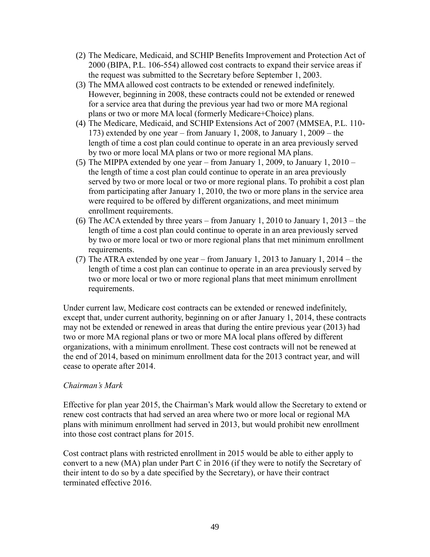- (2) The Medicare, Medicaid, and SCHIP Benefits Improvement and Protection Act of 2000 (BIPA, P.L. 106-554) allowed cost contracts to expand their service areas if the request was submitted to the Secretary before September 1, 2003.
- (3) The MMA allowed cost contracts to be extended or renewed indefinitely. However, beginning in 2008, these contracts could not be extended or renewed for a service area that during the previous year had two or more MA regional plans or two or more MA local (formerly Medicare+Choice) plans.
- (4) The Medicare, Medicaid, and SCHIP Extensions Act of 2007 (MMSEA, P.L. 110- 173) extended by one year – from January 1, 2008, to January 1, 2009 – the length of time a cost plan could continue to operate in an area previously served by two or more local MA plans or two or more regional MA plans.
- (5) The MIPPA extended by one year from January 1, 2009, to January 1, 2010 the length of time a cost plan could continue to operate in an area previously served by two or more local or two or more regional plans. To prohibit a cost plan from participating after January 1, 2010, the two or more plans in the service area were required to be offered by different organizations, and meet minimum enrollment requirements.
- (6) The ACA extended by three years from January 1, 2010 to January 1, 2013 the length of time a cost plan could continue to operate in an area previously served by two or more local or two or more regional plans that met minimum enrollment requirements.
- (7) The ATRA extended by one year from January 1, 2013 to January 1, 2014 the length of time a cost plan can continue to operate in an area previously served by two or more local or two or more regional plans that meet minimum enrollment requirements.

Under current law, Medicare cost contracts can be extended or renewed indefinitely, except that, under current authority, beginning on or after January 1, 2014, these contracts may not be extended or renewed in areas that during the entire previous year (2013) had two or more MA regional plans or two or more MA local plans offered by different organizations, with a minimum enrollment. These cost contracts will not be renewed at the end of 2014, based on minimum enrollment data for the 2013 contract year, and will cease to operate after 2014.

#### *Chairman's Mark*

Effective for plan year 2015, the Chairman's Mark would allow the Secretary to extend or renew cost contracts that had served an area where two or more local or regional MA plans with minimum enrollment had served in 2013, but would prohibit new enrollment into those cost contract plans for 2015.

Cost contract plans with restricted enrollment in 2015 would be able to either apply to convert to a new (MA) plan under Part C in 2016 (if they were to notify the Secretary of their intent to do so by a date specified by the Secretary), or have their contract terminated effective 2016.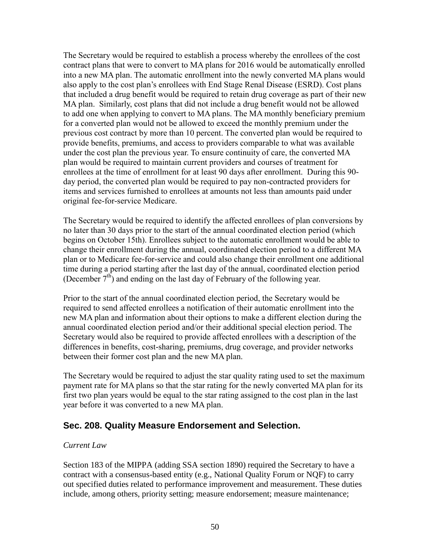The Secretary would be required to establish a process whereby the enrollees of the cost contract plans that were to convert to MA plans for 2016 would be automatically enrolled into a new MA plan. The automatic enrollment into the newly converted MA plans would also apply to the cost plan's enrollees with End Stage Renal Disease (ESRD). Cost plans that included a drug benefit would be required to retain drug coverage as part of their new MA plan. Similarly, cost plans that did not include a drug benefit would not be allowed to add one when applying to convert to MA plans. The MA monthly beneficiary premium for a converted plan would not be allowed to exceed the monthly premium under the previous cost contract by more than 10 percent. The converted plan would be required to provide benefits, premiums, and access to providers comparable to what was available under the cost plan the previous year. To ensure continuity of care, the converted MA plan would be required to maintain current providers and courses of treatment for enrollees at the time of enrollment for at least 90 days after enrollment. During this 90 day period, the converted plan would be required to pay non-contracted providers for items and services furnished to enrollees at amounts not less than amounts paid under original fee-for-service Medicare.

The Secretary would be required to identify the affected enrollees of plan conversions by no later than 30 days prior to the start of the annual coordinated election period (which begins on October 15th). Enrollees subject to the automatic enrollment would be able to change their enrollment during the annual, coordinated election period to a different MA plan or to Medicare fee-for-service and could also change their enrollment one additional time during a period starting after the last day of the annual, coordinated election period (December  $7<sup>th</sup>$ ) and ending on the last day of February of the following year.

Prior to the start of the annual coordinated election period, the Secretary would be required to send affected enrollees a notification of their automatic enrollment into the new MA plan and information about their options to make a different election during the annual coordinated election period and/or their additional special election period. The Secretary would also be required to provide affected enrollees with a description of the differences in benefits, cost-sharing, premiums, drug coverage, and provider networks between their former cost plan and the new MA plan.

The Secretary would be required to adjust the star quality rating used to set the maximum payment rate for MA plans so that the star rating for the newly converted MA plan for its first two plan years would be equal to the star rating assigned to the cost plan in the last year before it was converted to a new MA plan.

### <span id="page-50-0"></span>**Sec. 208. Quality Measure Endorsement and Selection.**

#### *Current Law*

Section 183 of the MIPPA (adding SSA section 1890) required the Secretary to have a contract with a consensus-based entity (e.g., National Quality Forum or NQF) to carry out specified duties related to performance improvement and measurement. These duties include, among others, priority setting; measure endorsement; measure maintenance;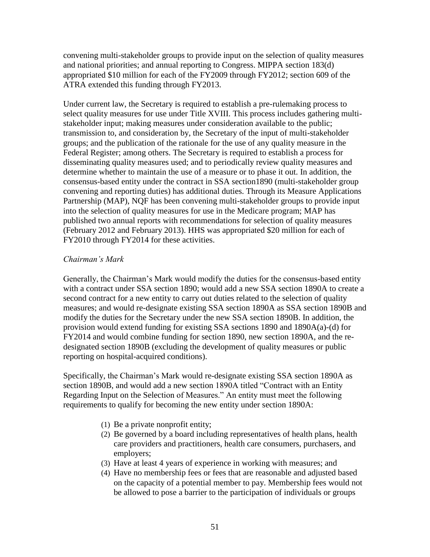convening multi-stakeholder groups to provide input on the selection of quality measures and national priorities; and annual reporting to Congress. MIPPA section 183(d) appropriated \$10 million for each of the FY2009 through FY2012; section 609 of the ATRA extended this funding through FY2013.

Under current law, the Secretary is required to establish a pre-rulemaking process to select quality measures for use under Title XVIII. This process includes gathering multistakeholder input; making measures under consideration available to the public; transmission to, and consideration by, the Secretary of the input of multi-stakeholder groups; and the publication of the rationale for the use of any quality measure in the Federal Register; among others. The Secretary is required to establish a process for disseminating quality measures used; and to periodically review quality measures and determine whether to maintain the use of a measure or to phase it out. In addition, the consensus-based entity under the contract in SSA section1890 (multi-stakeholder group convening and reporting duties) has additional duties. Through its Measure Applications Partnership (MAP), NQF has been convening multi-stakeholder groups to provide input into the selection of quality measures for use in the Medicare program; MAP has published two annual reports with recommendations for selection of quality measures (February 2012 and February 2013). HHS was appropriated \$20 million for each of FY2010 through FY2014 for these activities.

#### *Chairman's Mark*

Generally, the Chairman's Mark would modify the duties for the consensus-based entity with a contract under SSA section 1890; would add a new SSA section 1890A to create a second contract for a new entity to carry out duties related to the selection of quality measures; and would re-designate existing SSA section 1890A as SSA section 1890B and modify the duties for the Secretary under the new SSA section 1890B. In addition, the provision would extend funding for existing SSA sections 1890 and 1890A(a)-(d) for FY2014 and would combine funding for section 1890, new section 1890A, and the redesignated section 1890B (excluding the development of quality measures or public reporting on hospital-acquired conditions).

Specifically, the Chairman's Mark would re-designate existing SSA section 1890A as section 1890B, and would add a new section 1890A titled "Contract with an Entity Regarding Input on the Selection of Measures." An entity must meet the following requirements to qualify for becoming the new entity under section 1890A:

- (1) Be a private nonprofit entity;
- (2) Be governed by a board including representatives of health plans, health care providers and practitioners, health care consumers, purchasers, and employers;
- (3) Have at least 4 years of experience in working with measures; and
- (4) Have no membership fees or fees that are reasonable and adjusted based on the capacity of a potential member to pay. Membership fees would not be allowed to pose a barrier to the participation of individuals or groups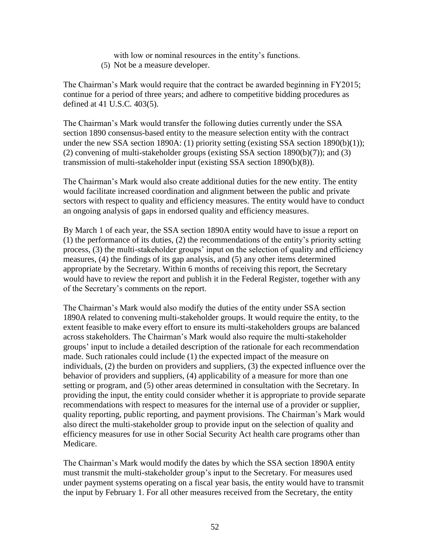with low or nominal resources in the entity's functions.

(5) Not be a measure developer.

The Chairman's Mark would require that the contract be awarded beginning in FY2015; continue for a period of three years; and adhere to competitive bidding procedures as defined at 41 U.S.C. 403(5).

The Chairman's Mark would transfer the following duties currently under the SSA section 1890 consensus-based entity to the measure selection entity with the contract under the new SSA section 1890A: (1) priority setting (existing SSA section 1890(b)(1)); (2) convening of multi-stakeholder groups (existing SSA section 1890(b)(7)); and (3) transmission of multi-stakeholder input (existing SSA section 1890(b)(8)).

The Chairman's Mark would also create additional duties for the new entity. The entity would facilitate increased coordination and alignment between the public and private sectors with respect to quality and efficiency measures. The entity would have to conduct an ongoing analysis of gaps in endorsed quality and efficiency measures.

By March 1 of each year, the SSA section 1890A entity would have to issue a report on (1) the performance of its duties, (2) the recommendations of the entity's priority setting process, (3) the multi-stakeholder groups' input on the selection of quality and efficiency measures, (4) the findings of its gap analysis, and (5) any other items determined appropriate by the Secretary. Within 6 months of receiving this report, the Secretary would have to review the report and publish it in the Federal Register, together with any of the Secretary's comments on the report.

The Chairman's Mark would also modify the duties of the entity under SSA section 1890A related to convening multi-stakeholder groups. It would require the entity, to the extent feasible to make every effort to ensure its multi-stakeholders groups are balanced across stakeholders. The Chairman's Mark would also require the multi-stakeholder groups' input to include a detailed description of the rationale for each recommendation made. Such rationales could include (1) the expected impact of the measure on individuals, (2) the burden on providers and suppliers, (3) the expected influence over the behavior of providers and suppliers, (4) applicability of a measure for more than one setting or program, and (5) other areas determined in consultation with the Secretary. In providing the input, the entity could consider whether it is appropriate to provide separate recommendations with respect to measures for the internal use of a provider or supplier, quality reporting, public reporting, and payment provisions. The Chairman's Mark would also direct the multi-stakeholder group to provide input on the selection of quality and efficiency measures for use in other Social Security Act health care programs other than Medicare.

The Chairman's Mark would modify the dates by which the SSA section 1890A entity must transmit the multi-stakeholder group's input to the Secretary. For measures used under payment systems operating on a fiscal year basis, the entity would have to transmit the input by February 1. For all other measures received from the Secretary, the entity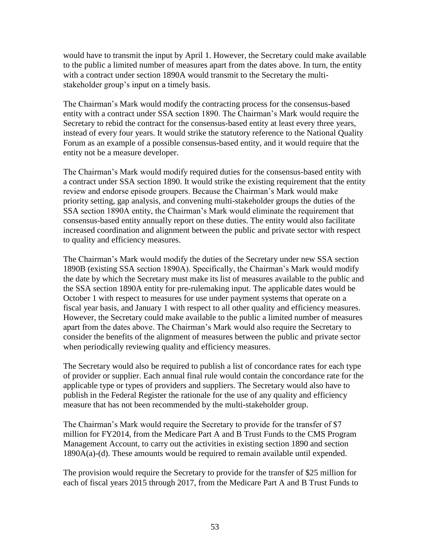would have to transmit the input by April 1. However, the Secretary could make available to the public a limited number of measures apart from the dates above. In turn, the entity with a contract under section 1890A would transmit to the Secretary the multistakeholder group's input on a timely basis.

The Chairman's Mark would modify the contracting process for the consensus-based entity with a contract under SSA section 1890. The Chairman's Mark would require the Secretary to rebid the contract for the consensus-based entity at least every three years, instead of every four years. It would strike the statutory reference to the National Quality Forum as an example of a possible consensus-based entity, and it would require that the entity not be a measure developer.

The Chairman's Mark would modify required duties for the consensus-based entity with a contract under SSA section 1890. It would strike the existing requirement that the entity review and endorse episode groupers. Because the Chairman's Mark would make priority setting, gap analysis, and convening multi-stakeholder groups the duties of the SSA section 1890A entity, the Chairman's Mark would eliminate the requirement that consensus-based entity annually report on these duties. The entity would also facilitate increased coordination and alignment between the public and private sector with respect to quality and efficiency measures.

The Chairman's Mark would modify the duties of the Secretary under new SSA section 1890B (existing SSA section 1890A). Specifically, the Chairman's Mark would modify the date by which the Secretary must make its list of measures available to the public and the SSA section 1890A entity for pre-rulemaking input. The applicable dates would be October 1 with respect to measures for use under payment systems that operate on a fiscal year basis, and January 1 with respect to all other quality and efficiency measures. However, the Secretary could make available to the public a limited number of measures apart from the dates above. The Chairman's Mark would also require the Secretary to consider the benefits of the alignment of measures between the public and private sector when periodically reviewing quality and efficiency measures.

The Secretary would also be required to publish a list of concordance rates for each type of provider or supplier. Each annual final rule would contain the concordance rate for the applicable type or types of providers and suppliers. The Secretary would also have to publish in the Federal Register the rationale for the use of any quality and efficiency measure that has not been recommended by the multi-stakeholder group.

The Chairman's Mark would require the Secretary to provide for the transfer of \$7 million for FY2014, from the Medicare Part A and B Trust Funds to the CMS Program Management Account, to carry out the activities in existing section 1890 and section 1890A(a)-(d). These amounts would be required to remain available until expended.

The provision would require the Secretary to provide for the transfer of \$25 million for each of fiscal years 2015 through 2017, from the Medicare Part A and B Trust Funds to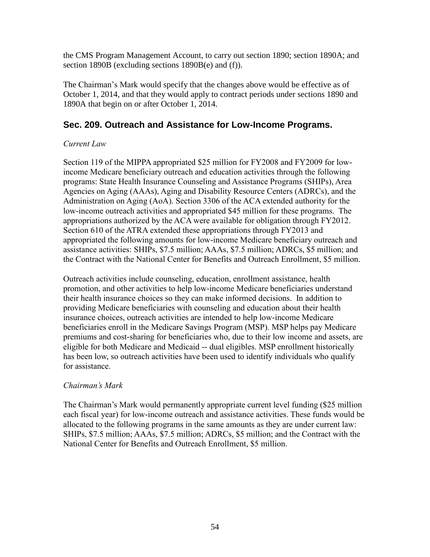the CMS Program Management Account, to carry out section 1890; section 1890A; and section 1890B (excluding sections 1890B(e) and (f)).

The Chairman's Mark would specify that the changes above would be effective as of October 1, 2014, and that they would apply to contract periods under sections 1890 and 1890A that begin on or after October 1, 2014.

### <span id="page-54-0"></span>**Sec. 209. Outreach and Assistance for Low-Income Programs.**

#### *Current Law*

Section 119 of the MIPPA appropriated \$25 million for FY2008 and FY2009 for lowincome Medicare beneficiary outreach and education activities through the following programs: State Health Insurance Counseling and Assistance Programs (SHIPs), Area Agencies on Aging (AAAs), Aging and Disability Resource Centers (ADRCs), and the Administration on Aging (AoA). Section 3306 of the ACA extended authority for the low-income outreach activities and appropriated \$45 million for these programs. The appropriations authorized by the ACA were available for obligation through FY2012. Section 610 of the ATRA extended these appropriations through FY2013 and appropriated the following amounts for low-income Medicare beneficiary outreach and assistance activities: SHIPs, \$7.5 million; AAAs, \$7.5 million; ADRCs, \$5 million; and the Contract with the National Center for Benefits and Outreach Enrollment, \$5 million.

Outreach activities include counseling, education, enrollment assistance, health promotion, and other activities to help low-income Medicare beneficiaries understand their health insurance choices so they can make informed decisions. In addition to providing Medicare beneficiaries with counseling and education about their health insurance choices, outreach activities are intended to help low-income Medicare beneficiaries enroll in the Medicare Savings Program (MSP). MSP helps pay Medicare premiums and cost-sharing for beneficiaries who, due to their low income and assets, are eligible for both Medicare and Medicaid -- dual eligibles. MSP enrollment historically has been low, so outreach activities have been used to identify individuals who qualify for assistance.

#### *Chairman's Mark*

<span id="page-54-1"></span>The Chairman's Mark would permanently appropriate current level funding (\$25 million each fiscal year) for low-income outreach and assistance activities. These funds would be allocated to the following programs in the same amounts as they are under current law: SHIPs, \$7.5 million; AAAs, \$7.5 million; ADRCs, \$5 million; and the Contract with the National Center for Benefits and Outreach Enrollment, \$5 million.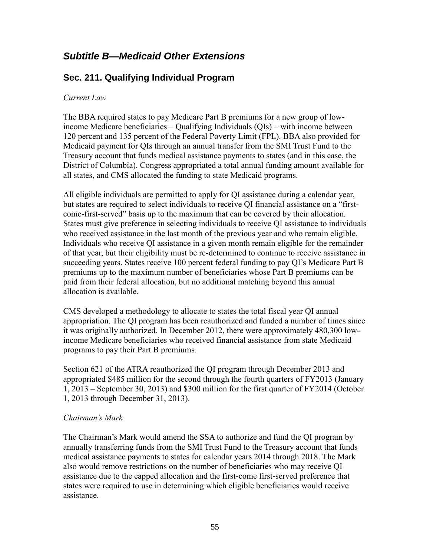# *Subtitle B—Medicaid Other Extensions*

### <span id="page-55-0"></span>**Sec. 211. Qualifying Individual Program**

#### *Current Law*

The BBA required states to pay Medicare Part B premiums for a new group of lowincome Medicare beneficiaries – Qualifying Individuals (QIs) – with income between 120 percent and 135 percent of the Federal Poverty Limit (FPL). BBA also provided for Medicaid payment for QIs through an annual transfer from the SMI Trust Fund to the Treasury account that funds medical assistance payments to states (and in this case, the District of Columbia). Congress appropriated a total annual funding amount available for all states, and CMS allocated the funding to state Medicaid programs.

All eligible individuals are permitted to apply for QI assistance during a calendar year, but states are required to select individuals to receive QI financial assistance on a "firstcome-first-served" basis up to the maximum that can be covered by their allocation. States must give preference in selecting individuals to receive QI assistance to individuals who received assistance in the last month of the previous year and who remain eligible. Individuals who receive QI assistance in a given month remain eligible for the remainder of that year, but their eligibility must be re-determined to continue to receive assistance in succeeding years. States receive 100 percent federal funding to pay QI's Medicare Part B premiums up to the maximum number of beneficiaries whose Part B premiums can be paid from their federal allocation, but no additional matching beyond this annual allocation is available.

CMS developed a methodology to allocate to states the total fiscal year QI annual appropriation. The QI program has been reauthorized and funded a number of times since it was originally authorized. In December 2012, there were approximately 480,300 lowincome Medicare beneficiaries who received financial assistance from state Medicaid programs to pay their Part B premiums.

Section 621 of the ATRA reauthorized the QI program through December 2013 and appropriated \$485 million for the second through the fourth quarters of FY2013 (January 1, 2013 – September 30, 2013) and \$300 million for the first quarter of FY2014 (October 1, 2013 through December 31, 2013).

#### *Chairman's Mark*

The Chairman's Mark would amend the SSA to authorize and fund the QI program by annually transferring funds from the SMI Trust Fund to the Treasury account that funds medical assistance payments to states for calendar years 2014 through 2018. The Mark also would remove restrictions on the number of beneficiaries who may receive QI assistance due to the capped allocation and the first-come first-served preference that states were required to use in determining which eligible beneficiaries would receive assistance.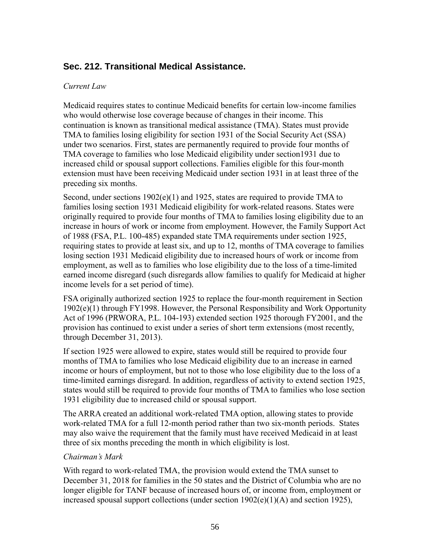### <span id="page-56-0"></span>**Sec. 212. Transitional Medical Assistance.**

#### *Current Law*

Medicaid requires states to continue Medicaid benefits for certain low-income families who would otherwise lose coverage because of changes in their income. This continuation is known as transitional medical assistance (TMA). States must provide TMA to families losing eligibility for section 1931 of the Social Security Act (SSA) under two scenarios. First, states are permanently required to provide four months of TMA coverage to families who lose Medicaid eligibility under section1931 due to increased child or spousal support collections. Families eligible for this four-month extension must have been receiving Medicaid under section 1931 in at least three of the preceding six months.

Second, under sections 1902(e)(1) and 1925, states are required to provide TMA to families losing section 1931 Medicaid eligibility for work-related reasons. States were originally required to provide four months of TMA to families losing eligibility due to an increase in hours of work or income from employment. However, the Family Support Act of 1988 (FSA, P.L. 100-485) expanded state TMA requirements under section 1925, requiring states to provide at least six, and up to 12, months of TMA coverage to families losing section 1931 Medicaid eligibility due to increased hours of work or income from employment, as well as to families who lose eligibility due to the loss of a time-limited earned income disregard (such disregards allow families to qualify for Medicaid at higher income levels for a set period of time).

FSA originally authorized section 1925 to replace the four-month requirement in Section 1902(e)(1) through FY1998. However, the Personal Responsibility and Work Opportunity Act of 1996 (PRWORA, P.L. 104-193) extended section 1925 thorough FY2001, and the provision has continued to exist under a series of short term extensions (most recently, through December 31, 2013).

If section 1925 were allowed to expire, states would still be required to provide four months of TMA to families who lose Medicaid eligibility due to an increase in earned income or hours of employment, but not to those who lose eligibility due to the loss of a time-limited earnings disregard. In addition, regardless of activity to extend section 1925, states would still be required to provide four months of TMA to families who lose section 1931 eligibility due to increased child or spousal support.

The ARRA created an additional work-related TMA option, allowing states to provide work-related TMA for a full 12-month period rather than two six-month periods. States may also waive the requirement that the family must have received Medicaid in at least three of six months preceding the month in which eligibility is lost.

#### *Chairman's Mark*

With regard to work-related TMA, the provision would extend the TMA sunset to December 31, 2018 for families in the 50 states and the District of Columbia who are no longer eligible for TANF because of increased hours of, or income from, employment or increased spousal support collections (under section  $1902(e)(1)(A)$  and section 1925),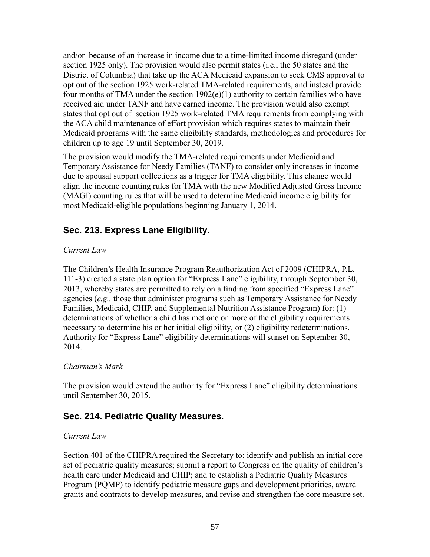and/or because of an increase in income due to a time-limited income disregard (under section 1925 only). The provision would also permit states (i.e., the 50 states and the District of Columbia) that take up the ACA Medicaid expansion to seek CMS approval to opt out of the section 1925 work-related TMA-related requirements, and instead provide four months of TMA under the section 1902(e)(1) authority to certain families who have received aid under TANF and have earned income. The provision would also exempt states that opt out of section 1925 work-related TMA requirements from complying with the ACA child maintenance of effort provision which requires states to maintain their Medicaid programs with the same eligibility standards, methodologies and procedures for children up to age 19 until September 30, 2019.

The provision would modify the TMA-related requirements under Medicaid and Temporary Assistance for Needy Families (TANF) to consider only increases in income due to spousal support collections as a trigger for TMA eligibility. This change would align the income counting rules for TMA with the new Modified Adjusted Gross Income (MAGI) counting rules that will be used to determine Medicaid income eligibility for most Medicaid-eligible populations beginning January 1, 2014.

### <span id="page-57-0"></span>**Sec. 213. Express Lane Eligibility.**

#### *Current Law*

The Children's Health Insurance Program Reauthorization Act of 2009 (CHIPRA, P.L. 111-3) created a state plan option for "Express Lane" eligibility, through September 30, 2013, whereby states are permitted to rely on a finding from specified "Express Lane" agencies (*e.g.,* those that administer programs such as Temporary Assistance for Needy Families, Medicaid, CHIP, and Supplemental Nutrition Assistance Program) for: (1) determinations of whether a child has met one or more of the eligibility requirements necessary to determine his or her initial eligibility, or (2) eligibility redeterminations. Authority for "Express Lane" eligibility determinations will sunset on September 30, 2014.

#### *Chairman's Mark*

The provision would extend the authority for "Express Lane" eligibility determinations until September 30, 2015.

### <span id="page-57-1"></span>**Sec. 214. Pediatric Quality Measures.**

#### *Current Law*

Section 401 of the CHIPRA required the Secretary to: identify and publish an initial core set of pediatric quality measures; submit a report to Congress on the quality of children's health care under Medicaid and CHIP; and to establish a Pediatric Quality Measures Program (PQMP) to identify pediatric measure gaps and development priorities, award grants and contracts to develop measures, and revise and strengthen the core measure set.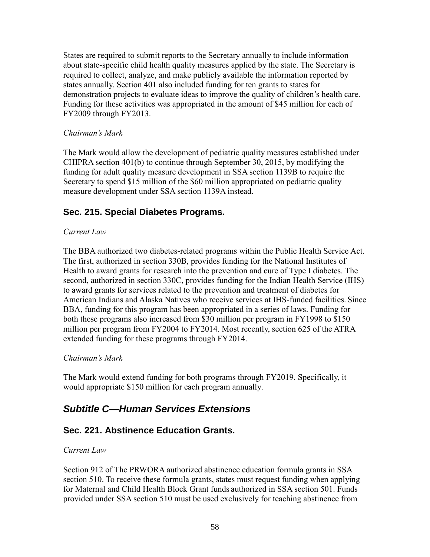States are required to submit reports to the Secretary annually to include information about state-specific child health quality measures applied by the state. The Secretary is required to collect, analyze, and make publicly available the information reported by states annually. Section 401 also included funding for ten grants to states for demonstration projects to evaluate ideas to improve the quality of children's health care. Funding for these activities was appropriated in the amount of \$45 million for each of FY2009 through FY2013.

#### *Chairman's Mark*

The Mark would allow the development of pediatric quality measures established under CHIPRA section 401(b) to continue through September 30, 2015, by modifying the funding for adult quality measure development in SSA section 1139B to require the Secretary to spend \$15 million of the \$60 million appropriated on pediatric quality measure development under SSA section 1139A instead.

# <span id="page-58-0"></span>**Sec. 215. Special Diabetes Programs.**

#### *Current Law*

The BBA authorized two diabetes-related programs within the Public Health Service Act. The first, authorized in section 330B, provides funding for the National Institutes of Health to award grants for research into the prevention and cure of Type I diabetes. The second, authorized in section 330C, provides funding for the Indian Health Service (IHS) to award grants for services related to the prevention and treatment of diabetes for American Indians and Alaska Natives who receive services at IHS-funded facilities. Since BBA, funding for this program has been appropriated in a series of laws. Funding for both these programs also increased from \$30 million per program in FY1998 to \$150 million per program from FY2004 to FY2014. Most recently, section 625 of the ATRA extended funding for these programs through FY2014.

#### *Chairman's Mark*

The Mark would extend funding for both programs through FY2019. Specifically, it would appropriate \$150 million for each program annually.

# <span id="page-58-1"></span>*Subtitle C—Human Services Extensions*

### <span id="page-58-2"></span>**Sec. 221. Abstinence Education Grants.**

#### *Current Law*

Section 912 of The PRWORA authorized abstinence education formula grants in SSA section 510. To receive these formula grants, states must request funding when applying for Maternal and Child Health Block Grant funds authorized in SSA section 501. Funds provided under SSA section 510 must be used exclusively for teaching abstinence from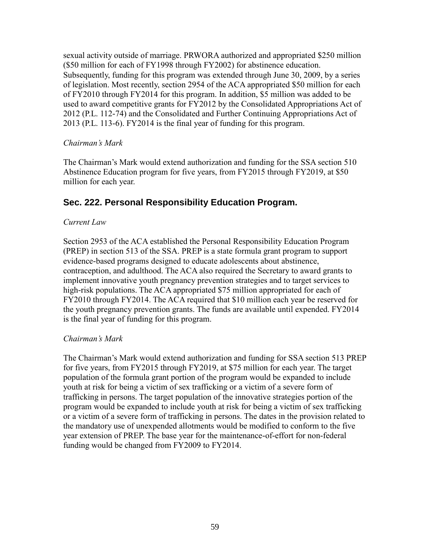sexual activity outside of marriage. PRWORA authorized and appropriated \$250 million (\$50 million for each of FY1998 through FY2002) for abstinence education. Subsequently, funding for this program was extended through June 30, 2009, by a series of legislation. Most recently, section 2954 of the ACA appropriated \$50 million for each of FY2010 through FY2014 for this program. In addition, \$5 million was added to be used to award competitive grants for FY2012 by the Consolidated Appropriations Act of 2012 (P.L. 112-74) and the Consolidated and Further Continuing Appropriations Act of 2013 (P.L. 113-6). FY2014 is the final year of funding for this program.

#### *Chairman's Mark*

The Chairman's Mark would extend authorization and funding for the SSA section 510 Abstinence Education program for five years, from FY2015 through FY2019, at \$50 million for each year.

### <span id="page-59-0"></span>**Sec. 222. Personal Responsibility Education Program.**

#### *Current Law*

Section 2953 of the ACA established the Personal Responsibility Education Program (PREP) in section 513 of the SSA. PREP is a state formula grant program to support evidence-based programs designed to educate adolescents about abstinence, contraception, and adulthood. The ACA also required the Secretary to award grants to implement innovative youth pregnancy prevention strategies and to target services to high-risk populations. The ACA appropriated \$75 million appropriated for each of FY2010 through FY2014. The ACA required that \$10 million each year be reserved for the youth pregnancy prevention grants. The funds are available until expended. FY2014 is the final year of funding for this program.

#### *Chairman's Mark*

<span id="page-59-1"></span>The Chairman's Mark would extend authorization and funding for SSA section 513 PREP for five years, from FY2015 through FY2019, at \$75 million for each year. The target population of the formula grant portion of the program would be expanded to include youth at risk for being a victim of sex trafficking or a victim of a severe form of trafficking in persons. The target population of the innovative strategies portion of the program would be expanded to include youth at risk for being a victim of sex trafficking or a victim of a severe form of trafficking in persons. The dates in the provision related to the mandatory use of unexpended allotments would be modified to conform to the five year extension of PREP. The base year for the maintenance-of-effort for non-federal funding would be changed from FY2009 to FY2014.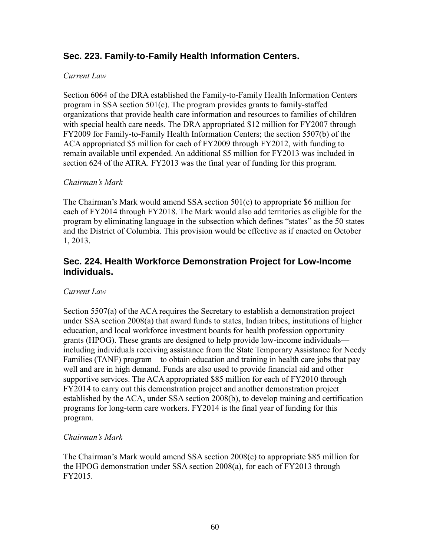### **Sec. 223. Family-to-Family Health Information Centers.**

#### *Current Law*

Section 6064 of the DRA established the Family-to-Family Health Information Centers program in SSA section 501(c). The program provides grants to family-staffed organizations that provide health care information and resources to families of children with special health care needs. The DRA appropriated \$12 million for FY2007 through FY2009 for Family-to-Family Health Information Centers; the section 5507(b) of the ACA appropriated \$5 million for each of FY2009 through FY2012, with funding to remain available until expended. An additional \$5 million for FY2013 was included in section 624 of the ATRA. FY2013 was the final year of funding for this program.

#### *Chairman's Mark*

The Chairman's Mark would amend SSA section 501(c) to appropriate \$6 million for each of FY2014 through FY2018. The Mark would also add territories as eligible for the program by eliminating language in the subsection which defines "states" as the 50 states and the District of Columbia. This provision would be effective as if enacted on October 1, 2013.

### <span id="page-60-0"></span>**Sec. 224. Health Workforce Demonstration Project for Low-Income Individuals.**

#### *Current Law*

Section 5507(a) of the ACA requires the Secretary to establish a demonstration project under SSA section 2008(a) that award funds to states, Indian tribes, institutions of higher education, and local workforce investment boards for health profession opportunity grants (HPOG). These grants are designed to help provide low-income individuals including individuals receiving assistance from the State Temporary Assistance for Needy Families (TANF) program—to obtain education and training in health care jobs that pay well and are in high demand. Funds are also used to provide financial aid and other supportive services. The ACA appropriated \$85 million for each of FY2010 through FY2014 to carry out this demonstration project and another demonstration project established by the ACA, under SSA section 2008(b), to develop training and certification programs for long-term care workers. FY2014 is the final year of funding for this program.

#### *Chairman's Mark*

The Chairman's Mark would amend SSA section 2008(c) to appropriate \$85 million for the HPOG demonstration under SSA section 2008(a), for each of FY2013 through FY2015.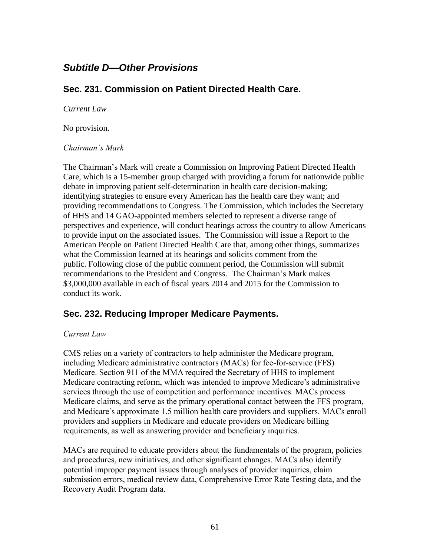# <span id="page-61-0"></span>*Subtitle D—Other Provisions*

### <span id="page-61-1"></span>**Sec. 231. Commission on Patient Directed Health Care.**

*Current Law*

No provision.

#### *Chairman's Mark*

The Chairman's Mark will create a Commission on Improving Patient Directed Health Care, which is a 15-member group charged with providing a forum for nationwide public debate in improving patient self-determination in health care decision-making; identifying strategies to ensure every American has the health care they want; and providing recommendations to Congress. The Commission, which includes the Secretary of HHS and 14 GAO-appointed members selected to represent a diverse range of perspectives and experience, will conduct hearings across the country to allow Americans to provide input on the associated issues. The Commission will issue a Report to the American People on Patient Directed Health Care that, among other things, summarizes what the Commission learned at its hearings and solicits comment from the public. Following close of the public comment period, the Commission will submit recommendations to the President and Congress. The Chairman's Mark makes \$3,000,000 available in each of fiscal years 2014 and 2015 for the Commission to conduct its work.

### <span id="page-61-2"></span>**Sec. 232. Reducing Improper Medicare Payments.**

#### *Current Law*

CMS relies on a variety of contractors to help administer the Medicare program, including Medicare administrative contractors (MACs) for fee-for-service (FFS) Medicare. Section 911 of the MMA required the Secretary of HHS to implement Medicare contracting reform, which was intended to improve Medicare's administrative services through the use of competition and performance incentives. MACs process Medicare claims, and serve as the primary operational contact between the FFS program, and Medicare's approximate 1.5 million health care providers and suppliers. MACs enroll providers and suppliers in Medicare and educate providers on Medicare billing requirements, as well as answering provider and beneficiary inquiries.

MACs are required to educate providers about the fundamentals of the program, policies and procedures, new initiatives, and other significant changes. MACs also identify potential improper payment issues through analyses of provider inquiries, claim submission errors, medical review data, Comprehensive Error Rate Testing data, and the Recovery Audit Program data.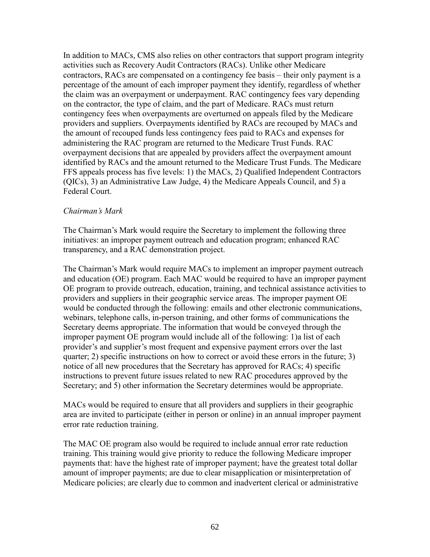In addition to MACs, CMS also relies on other contractors that support program integrity activities such as Recovery Audit Contractors (RACs). Unlike other Medicare contractors, RACs are compensated on a contingency fee basis – their only payment is a percentage of the amount of each improper payment they identify, regardless of whether the claim was an overpayment or underpayment. RAC contingency fees vary depending on the contractor, the type of claim, and the part of Medicare. RACs must return contingency fees when overpayments are overturned on appeals filed by the Medicare providers and suppliers. Overpayments identified by RACs are recouped by MACs and the amount of recouped funds less contingency fees paid to RACs and expenses for administering the RAC program are returned to the Medicare Trust Funds. RAC overpayment decisions that are appealed by providers affect the overpayment amount identified by RACs and the amount returned to the Medicare Trust Funds. The Medicare FFS appeals process has five levels: 1) the MACs, 2) Qualified Independent Contractors (QICs), 3) an Administrative Law Judge, 4) the Medicare Appeals Council, and 5) a Federal Court.

#### *Chairman's Mark*

The Chairman's Mark would require the Secretary to implement the following three initiatives: an improper payment outreach and education program; enhanced RAC transparency, and a RAC demonstration project.

The Chairman's Mark would require MACs to implement an improper payment outreach and education (OE) program. Each MAC would be required to have an improper payment OE program to provide outreach, education, training, and technical assistance activities to providers and suppliers in their geographic service areas. The improper payment OE would be conducted through the following: emails and other electronic communications, webinars, telephone calls, in-person training, and other forms of communications the Secretary deems appropriate. The information that would be conveyed through the improper payment OE program would include all of the following: 1)a list of each provider's and supplier's most frequent and expensive payment errors over the last quarter; 2) specific instructions on how to correct or avoid these errors in the future; 3) notice of all new procedures that the Secretary has approved for RACs; 4) specific instructions to prevent future issues related to new RAC procedures approved by the Secretary; and 5) other information the Secretary determines would be appropriate.

MACs would be required to ensure that all providers and suppliers in their geographic area are invited to participate (either in person or online) in an annual improper payment error rate reduction training.

The MAC OE program also would be required to include annual error rate reduction training. This training would give priority to reduce the following Medicare improper payments that: have the highest rate of improper payment; have the greatest total dollar amount of improper payments; are due to clear misapplication or misinterpretation of Medicare policies; are clearly due to common and inadvertent clerical or administrative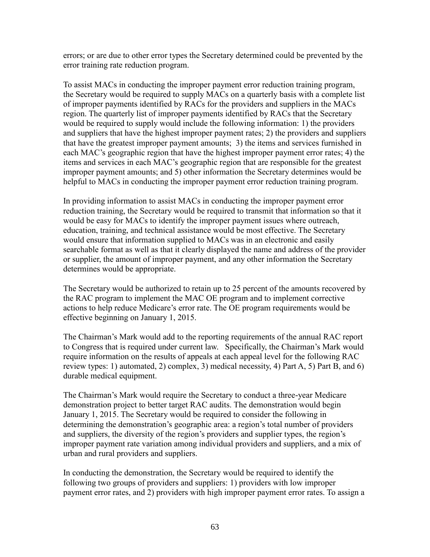errors; or are due to other error types the Secretary determined could be prevented by the error training rate reduction program.

To assist MACs in conducting the improper payment error reduction training program, the Secretary would be required to supply MACs on a quarterly basis with a complete list of improper payments identified by RACs for the providers and suppliers in the MACs region. The quarterly list of improper payments identified by RACs that the Secretary would be required to supply would include the following information: 1) the providers and suppliers that have the highest improper payment rates; 2) the providers and suppliers that have the greatest improper payment amounts; 3) the items and services furnished in each MAC's geographic region that have the highest improper payment error rates; 4) the items and services in each MAC's geographic region that are responsible for the greatest improper payment amounts; and 5) other information the Secretary determines would be helpful to MACs in conducting the improper payment error reduction training program.

In providing information to assist MACs in conducting the improper payment error reduction training, the Secretary would be required to transmit that information so that it would be easy for MACs to identify the improper payment issues where outreach, education, training, and technical assistance would be most effective. The Secretary would ensure that information supplied to MACs was in an electronic and easily searchable format as well as that it clearly displayed the name and address of the provider or supplier, the amount of improper payment, and any other information the Secretary determines would be appropriate.

The Secretary would be authorized to retain up to 25 percent of the amounts recovered by the RAC program to implement the MAC OE program and to implement corrective actions to help reduce Medicare's error rate. The OE program requirements would be effective beginning on January 1, 2015.

The Chairman's Mark would add to the reporting requirements of the annual RAC report to Congress that is required under current law. Specifically, the Chairman's Mark would require information on the results of appeals at each appeal level for the following RAC review types: 1) automated, 2) complex, 3) medical necessity, 4) Part A, 5) Part B, and 6) durable medical equipment.

The Chairman's Mark would require the Secretary to conduct a three-year Medicare demonstration project to better target RAC audits. The demonstration would begin January 1, 2015. The Secretary would be required to consider the following in determining the demonstration's geographic area: a region's total number of providers and suppliers, the diversity of the region's providers and supplier types, the region's improper payment rate variation among individual providers and suppliers, and a mix of urban and rural providers and suppliers.

In conducting the demonstration, the Secretary would be required to identify the following two groups of providers and suppliers: 1) providers with low improper payment error rates, and 2) providers with high improper payment error rates. To assign a